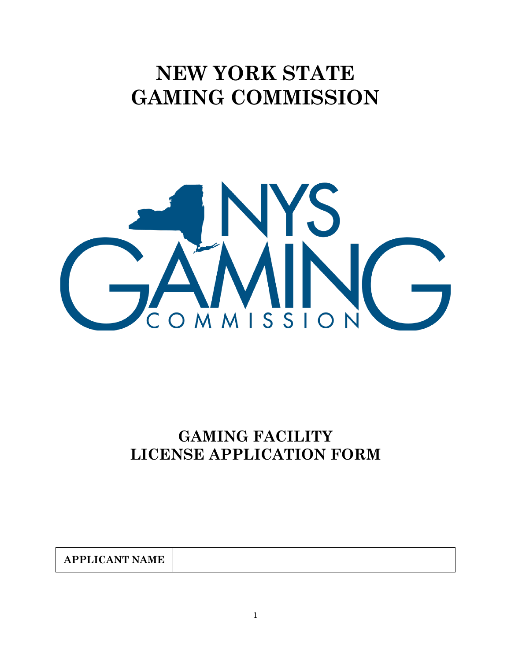# **NEW YORK STATE GAMING COMMISSION**



# **GAMING FACILITY LICENSE APPLICATION FORM**

| $\lambda$ DDI IO $\lambda$ MID 37 $\lambda$ 3 $\pi$ D<br>PPL 17<br>. .<br>$\Lambda$<br>$\lambda$<br>AL LLI<br>---<br>-<br>$\overline{\phantom{a}}$ |
|----------------------------------------------------------------------------------------------------------------------------------------------------|
|----------------------------------------------------------------------------------------------------------------------------------------------------|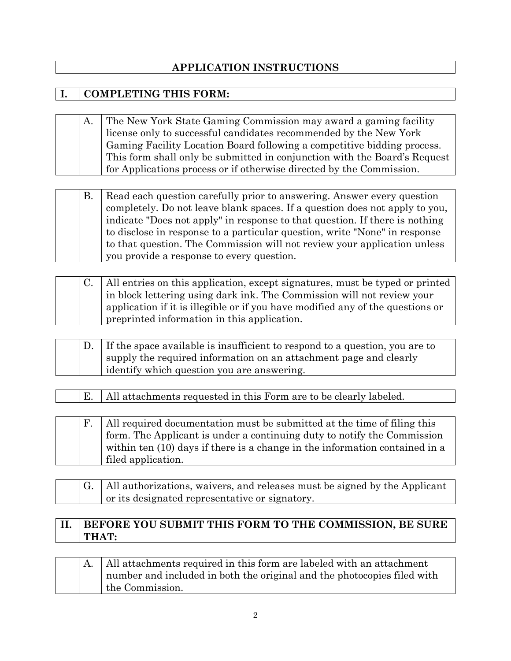## **APPLICATION INSTRUCTIONS**

## **I. COMPLETING THIS FORM:**

A. The New York State Gaming Commission may award a gaming facility license only to successful candidates recommended by the New York Gaming Facility Location Board following a competitive bidding process. This form shall only be submitted in conjunction with the Board's Request for Applications process or if otherwise directed by the Commission.

|  | Read each question carefully prior to answering. Answer every question      |
|--|-----------------------------------------------------------------------------|
|  | completely. Do not leave blank spaces. If a question does not apply to you, |
|  | indicate "Does not apply" in response to that question. If there is nothing |
|  | to disclose in response to a particular question, write "None" in response  |
|  | to that question. The Commission will not review your application unless    |
|  | you provide a response to every question.                                   |

|  | C.   All entries on this application, except signatures, must be typed or printed |
|--|-----------------------------------------------------------------------------------|
|  | in block lettering using dark ink. The Commission will not review your            |
|  | application if it is illegible or if you have modified any of the questions or    |
|  | preprinted information in this application.                                       |

|  | D. If the space available is insufficient to respond to a question, you are to |
|--|--------------------------------------------------------------------------------|
|  | supply the required information on an attachment page and clearly              |
|  | i identify which question you are answering.                                   |

E. | All attachments requested in this Form are to be clearly labeled.

|  | All required documentation must be submitted at the time of filing this     |
|--|-----------------------------------------------------------------------------|
|  | form. The Applicant is under a continuing duty to notify the Commission     |
|  | within ten (10) days if there is a change in the information contained in a |
|  | filed application.                                                          |

G. | All authorizations, waivers, and releases must be signed by the Applicant or its designated representative or signatory.

## **II. BEFORE YOU SUBMIT THIS FORM TO THE COMMISSION, BE SURE THAT:**

A. | All attachments required in this form are labeled with an attachment number and included in both the original and the photocopies filed with the Commission.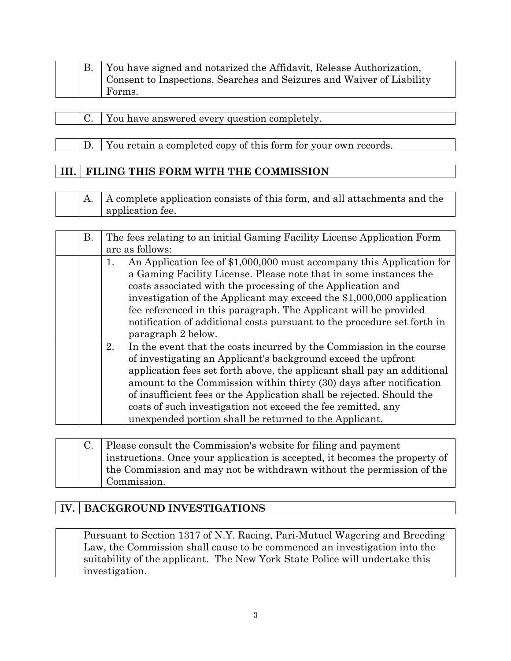|  | You have signed and notarized the Affidavit, Release Authorization,   |
|--|-----------------------------------------------------------------------|
|  | Consent to Inspections, Searches and Seizures and Waiver of Liability |
|  | Forms.                                                                |

- C. You have answered every question completely.
- D. You retain a completed copy of this form for your own records.

## **III. FILING THIS FORM WITH THE COMMISSION**

A. | A complete application consists of this form, and all attachments and the application fee.

| В. |    | The fees relating to an initial Gaming Facility License Application Form                                                                                                                                                                                                                                                                                                                                                                                                                   |
|----|----|--------------------------------------------------------------------------------------------------------------------------------------------------------------------------------------------------------------------------------------------------------------------------------------------------------------------------------------------------------------------------------------------------------------------------------------------------------------------------------------------|
|    |    | are as follows:                                                                                                                                                                                                                                                                                                                                                                                                                                                                            |
|    | 1. | An Application fee of \$1,000,000 must accompany this Application for<br>a Gaming Facility License. Please note that in some instances the<br>costs associated with the processing of the Application and<br>investigation of the Applicant may exceed the \$1,000,000 application<br>fee referenced in this paragraph. The Applicant will be provided<br>notification of additional costs pursuant to the procedure set forth in<br>paragraph 2 below.                                    |
|    | 2. | In the event that the costs incurred by the Commission in the course<br>of investigating an Applicant's background exceed the upfront<br>application fees set forth above, the applicant shall pay an additional<br>amount to the Commission within thirty (30) days after notification<br>of insufficient fees or the Application shall be rejected. Should the<br>costs of such investigation not exceed the fee remitted, any<br>unexpended portion shall be returned to the Applicant. |

|  | Please consult the Commission's website for filing and payment              |
|--|-----------------------------------------------------------------------------|
|  | instructions. Once your application is accepted, it becomes the property of |
|  | the Commission and may not be withdrawn without the permission of the       |
|  | Commission.                                                                 |

## **IV. BACKGROUND INVESTIGATIONS**

Pursuant to Section 1317 of N.Y. Racing, Pari-Mutuel Wagering and Breeding Law, the Commission shall cause to be commenced an investigation into the suitability of the applicant. The New York State Police will undertake this investigation.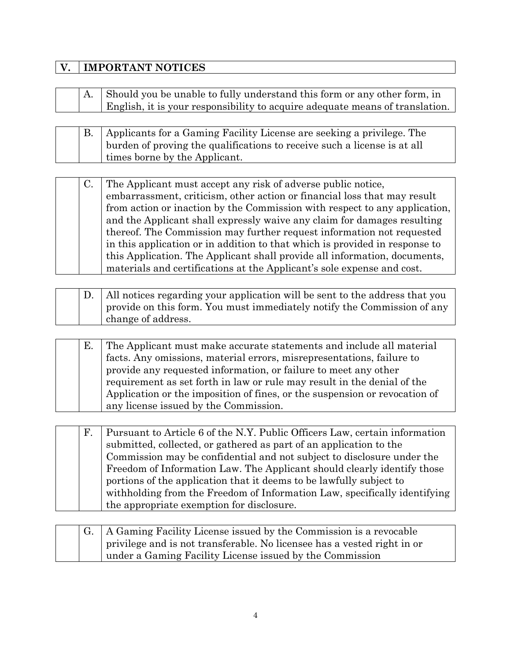## **V. IMPORTANT NOTICES**

|  | A. Should you be unable to fully understand this form or any other form, in  |
|--|------------------------------------------------------------------------------|
|  | English, it is your responsibility to acquire adequate means of translation. |

|  | B. Applicants for a Gaming Facility License are seeking a privilege. The |
|--|--------------------------------------------------------------------------|
|  | burden of proving the qualifications to receive such a license is at all |
|  | times borne by the Applicant.                                            |

| C. | The Applicant must accept any risk of adverse public notice,                |
|----|-----------------------------------------------------------------------------|
|    | embarrassment, criticism, other action or financial loss that may result    |
|    | from action or inaction by the Commission with respect to any application,  |
|    | and the Applicant shall expressly waive any claim for damages resulting     |
|    | thereof. The Commission may further request information not requested       |
|    | in this application or in addition to that which is provided in response to |
|    | this Application. The Applicant shall provide all information, documents,   |
|    | materials and certifications at the Applicant's sole expense and cost.      |

|  | D.   All notices regarding your application will be sent to the address that you |
|--|----------------------------------------------------------------------------------|
|  | provide on this form. You must immediately notify the Commission of any          |
|  | change of address.                                                               |

## E. The Applicant must make accurate statements and include all material facts. Any omissions, material errors, misrepresentations, failure to provide any requested information, or failure to meet any other requirement as set forth in law or rule may result in the denial of the Application or the imposition of fines, or the suspension or revocation of any license issued by the Commission.

| F. | Pursuant to Article 6 of the N.Y. Public Officers Law, certain information |
|----|----------------------------------------------------------------------------|
|    | submitted, collected, or gathered as part of an application to the         |
|    | Commission may be confidential and not subject to disclosure under the     |
|    | Freedom of Information Law. The Applicant should clearly identify those    |
|    | portions of the application that it deems to be lawfully subject to        |
|    | with holding from the Freedom of Information Law, specifically identifying |
|    | the appropriate exemption for disclosure.                                  |

|  | A Gaming Facility License issued by the Commission is a revocable       |
|--|-------------------------------------------------------------------------|
|  | privilege and is not transferable. No licensee has a vested right in or |
|  | under a Gaming Facility License issued by the Commission                |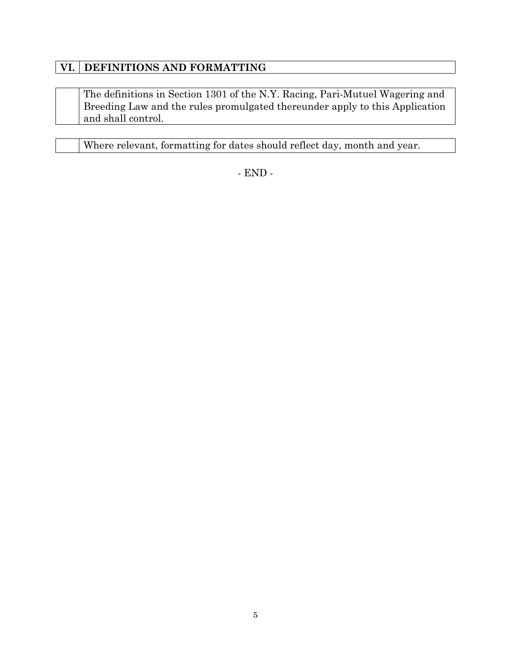## **VI. DEFINITIONS AND FORMATTING**

The definitions in Section 1301 of the N.Y. Racing, Pari-Mutuel Wagering and Breeding Law and the rules promulgated thereunder apply to this Application and shall control.

Where relevant, formatting for dates should reflect day, month and year.

- END -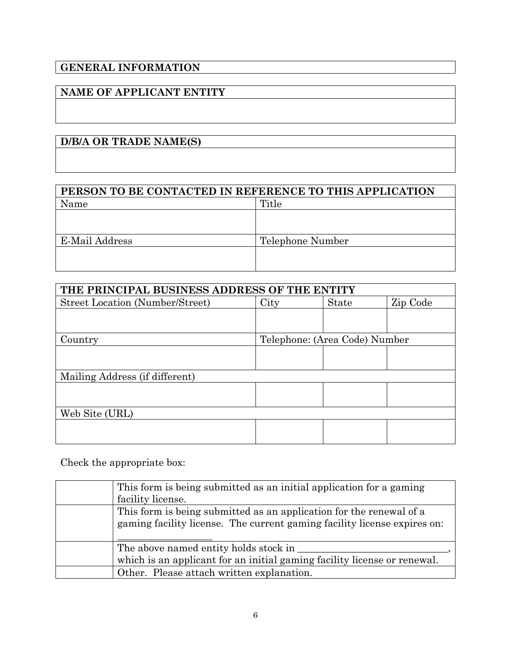## **GENERAL INFORMATION**

## **NAME OF APPLICANT ENTITY**

## **D/B/A OR TRADE NAME(S)**

| PERSON TO BE CONTACTED IN REFERENCE TO THIS APPLICATION |                  |  |
|---------------------------------------------------------|------------------|--|
| Name                                                    | Title            |  |
|                                                         |                  |  |
|                                                         |                  |  |
| E-Mail Address                                          | Telephone Number |  |
|                                                         |                  |  |
|                                                         |                  |  |

| THE PRINCIPAL BUSINESS ADDRESS OF THE ENTITY |                               |              |          |
|----------------------------------------------|-------------------------------|--------------|----------|
| <b>Street Location (Number/Street)</b>       | City                          | <b>State</b> | Zip Code |
|                                              |                               |              |          |
|                                              |                               |              |          |
| Country                                      | Telephone: (Area Code) Number |              |          |
|                                              |                               |              |          |
|                                              |                               |              |          |
| Mailing Address (if different)               |                               |              |          |
|                                              |                               |              |          |
|                                              |                               |              |          |
| Web Site (URL)                               |                               |              |          |
|                                              |                               |              |          |
|                                              |                               |              |          |

Check the appropriate box:

| This form is being submitted as an initial application for a gaming<br>facility license.                                                        |
|-------------------------------------------------------------------------------------------------------------------------------------------------|
| This form is being submitted as an application for the renewal of a<br>gaming facility license. The current gaming facility license expires on: |
| The above named entity holds stock in<br>which is an applicant for an initial gaming facility license or renewal.                               |
| Other. Please attach written explanation.                                                                                                       |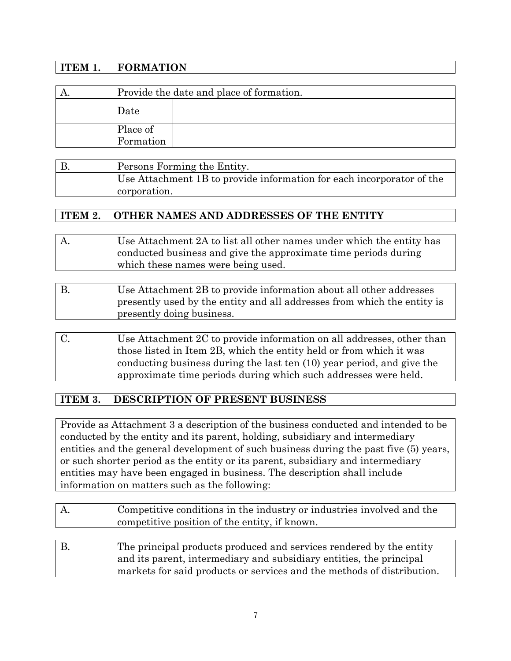| ITEM 1. | <b>FORMATION</b>      |                                          |
|---------|-----------------------|------------------------------------------|
|         |                       |                                          |
|         |                       | Provide the date and place of formation. |
|         | Date                  |                                          |
|         | Place of<br>Formation |                                          |

| Persons Forming the Entity.                                           |
|-----------------------------------------------------------------------|
| Use Attachment 1B to provide information for each incorporator of the |
| corporation.                                                          |

## **ITEM 2. OTHER NAMES AND ADDRESSES OF THE ENTITY**

| A. | Use Attachment 2A to list all other names under which the entity has |
|----|----------------------------------------------------------------------|
|    | conducted business and give the approximate time periods during      |
|    | which these names were being used.                                   |
|    |                                                                      |

| Use Attachment 2B to provide information about all other addresses      |
|-------------------------------------------------------------------------|
| presently used by the entity and all addresses from which the entity is |
| presently doing business.                                               |
|                                                                         |

| C. | Use Attachment 2C to provide information on all addresses, other than  |
|----|------------------------------------------------------------------------|
|    | those listed in Item 2B, which the entity held or from which it was    |
|    | conducting business during the last ten (10) year period, and give the |
|    | approximate time periods during which such addresses were held.        |

## **ITEM 3. DESCRIPTION OF PRESENT BUSINESS**

Provide as Attachment 3 a description of the business conducted and intended to be conducted by the entity and its parent, holding, subsidiary and intermediary entities and the general development of such business during the past five (5) years, or such shorter period as the entity or its parent, subsidiary and intermediary entities may have been engaged in business. The description shall include information on matters such as the following:

|            | Competitive conditions in the industry or industries involved and the<br>competitive position of the entity, if known.                                                                                               |
|------------|----------------------------------------------------------------------------------------------------------------------------------------------------------------------------------------------------------------------|
|            |                                                                                                                                                                                                                      |
| <b>B</b> . | The principal products produced and services rendered by the entity<br>and its parent, intermediary and subsidiary entities, the principal<br>markets for said products or services and the methods of distribution. |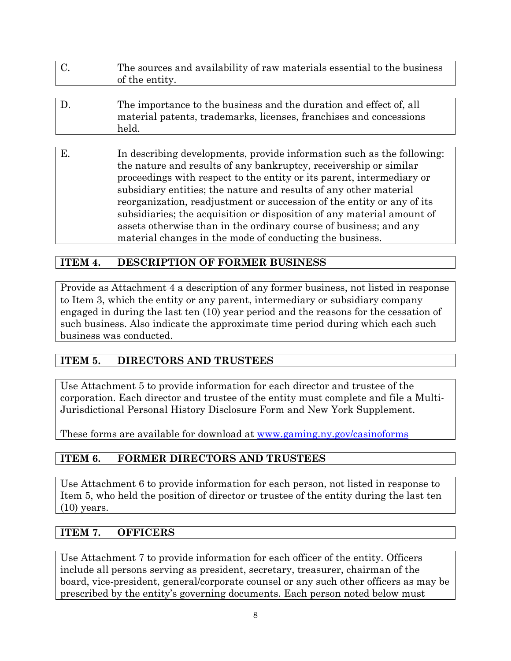| $\overline{a}$ | The sources and availability of raw materials essential to the business<br>of the entity. |
|----------------|-------------------------------------------------------------------------------------------|
|                |                                                                                           |
|                | The importance to the business and the duration and effect of, all                        |

| held. |  |  | material patents, trademarks, licenses, franchises and concessions |  |  |  |  |
|-------|--|--|--------------------------------------------------------------------|--|--|--|--|
|       |  |  |                                                                    |  |  |  |  |
|       |  |  |                                                                    |  |  |  |  |

| Ε. | In describing developments, provide information such as the following: |
|----|------------------------------------------------------------------------|
|    | the nature and results of any bankruptcy, receivership or similar      |
|    | proceedings with respect to the entity or its parent, intermediary or  |
|    | subsidiary entities; the nature and results of any other material      |
|    | reorganization, readjustment or succession of the entity or any of its |
|    | subsidiaries; the acquisition or disposition of any material amount of |
|    | assets otherwise than in the ordinary course of business; and any      |
|    | material changes in the mode of conducting the business.               |
|    |                                                                        |

## **ITEM 4. DESCRIPTION OF FORMER BUSINESS**

Provide as Attachment 4 a description of any former business, not listed in response to Item 3, which the entity or any parent, intermediary or subsidiary company engaged in during the last ten (10) year period and the reasons for the cessation of such business. Also indicate the approximate time period during which each such business was conducted.

## **ITEM 5. DIRECTORS AND TRUSTEES**

Use Attachment 5 to provide information for each director and trustee of the corporation. Each director and trustee of the entity must complete and file a Multi-Jurisdictional Personal History Disclosure Form and New York Supplement.

These forms are available for download at www.gaming.ny.gov/casinoforms

## **ITEM 6. FORMER DIRECTORS AND TRUSTEES**

Use Attachment 6 to provide information for each person, not listed in response to Item 5, who held the position of director or trustee of the entity during the last ten  $(10)$  years.

## **ITEM 7. OFFICERS**

Use Attachment 7 to provide information for each officer of the entity. Officers include all persons serving as president, secretary, treasurer, chairman of the board, vice-president, general/corporate counsel or any such other officers as may be prescribed by the entity's governing documents. Each person noted below must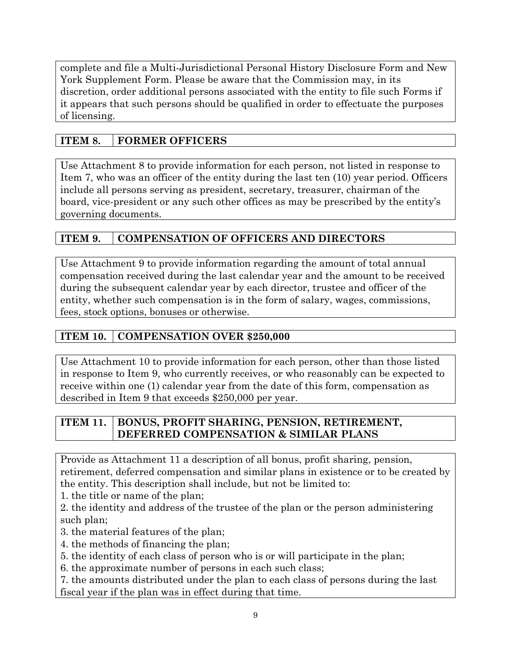complete and file a Multi-Jurisdictional Personal History Disclosure Form and New York Supplement Form. Please be aware that the Commission may, in its discretion, order additional persons associated with the entity to file such Forms if it appears that such persons should be qualified in order to effectuate the purposes of licensing.

## **ITEM 8. FORMER OFFICERS**

Use Attachment 8 to provide information for each person, not listed in response to Item 7, who was an officer of the entity during the last ten (10) year period. Officers include all persons serving as president, secretary, treasurer, chairman of the board, vice-president or any such other offices as may be prescribed by the entity's governing documents.

## **ITEM 9. COMPENSATION OF OFFICERS AND DIRECTORS**

Use Attachment 9 to provide information regarding the amount of total annual compensation received during the last calendar year and the amount to be received during the subsequent calendar year by each director, trustee and officer of the entity, whether such compensation is in the form of salary, wages, commissions, fees, stock options, bonuses or otherwise.

## **ITEM 10. COMPENSATION OVER \$250,000**

Use Attachment 10 to provide information for each person, other than those listed in response to Item 9, who currently receives, or who reasonably can be expected to receive within one (1) calendar year from the date of this form, compensation as described in Item 9 that exceeds \$250,000 per year.

## **ITEM 11. BONUS, PROFIT SHARING, PENSION, RETIREMENT, DEFERRED COMPENSATION & SIMILAR PLANS**

Provide as Attachment 11 a description of all bonus, profit sharing, pension, retirement, deferred compensation and similar plans in existence or to be created by the entity. This description shall include, but not be limited to:

1. the title or name of the plan;

2. the identity and address of the trustee of the plan or the person administering such plan;

3. the material features of the plan;

4. the methods of financing the plan;

5. the identity of each class of person who is or will participate in the plan;

6. the approximate number of persons in each such class;

7. the amounts distributed under the plan to each class of persons during the last fiscal year if the plan was in effect during that time.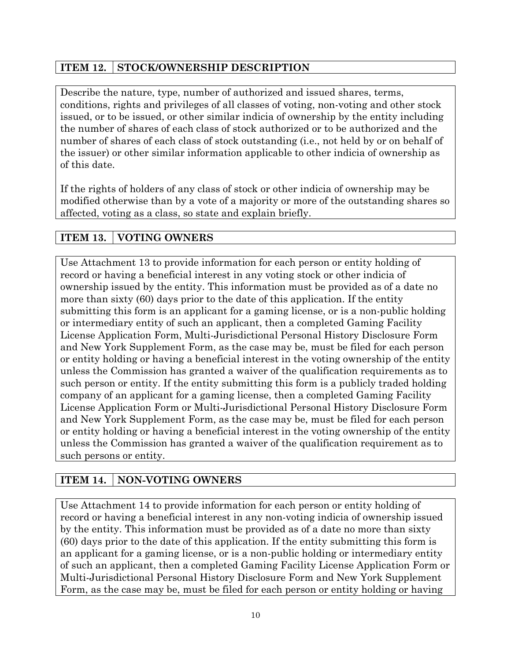## **ITEM 12. STOCK/OWNERSHIP DESCRIPTION**

Describe the nature, type, number of authorized and issued shares, terms, conditions, rights and privileges of all classes of voting, non-voting and other stock issued, or to be issued, or other similar indicia of ownership by the entity including the number of shares of each class of stock authorized or to be authorized and the number of shares of each class of stock outstanding (i.e., not held by or on behalf of the issuer) or other similar information applicable to other indicia of ownership as of this date.

If the rights of holders of any class of stock or other indicia of ownership may be modified otherwise than by a vote of a majority or more of the outstanding shares so affected, voting as a class, so state and explain briefly.

## **ITEM 13. VOTING OWNERS**

Use Attachment 13 to provide information for each person or entity holding of record or having a beneficial interest in any voting stock or other indicia of ownership issued by the entity. This information must be provided as of a date no more than sixty (60) days prior to the date of this application. If the entity submitting this form is an applicant for a gaming license, or is a non-public holding or intermediary entity of such an applicant, then a completed Gaming Facility License Application Form, Multi-Jurisdictional Personal History Disclosure Form and New York Supplement Form, as the case may be, must be filed for each person or entity holding or having a beneficial interest in the voting ownership of the entity unless the Commission has granted a waiver of the qualification requirements as to such person or entity. If the entity submitting this form is a publicly traded holding company of an applicant for a gaming license, then a completed Gaming Facility License Application Form or Multi-Jurisdictional Personal History Disclosure Form and New York Supplement Form, as the case may be, must be filed for each person or entity holding or having a beneficial interest in the voting ownership of the entity unless the Commission has granted a waiver of the qualification requirement as to such persons or entity.

## **ITEM 14. NON-VOTING OWNERS**

Use Attachment 14 to provide information for each person or entity holding of record or having a beneficial interest in any non-voting indicia of ownership issued by the entity. This information must be provided as of a date no more than sixty (60) days prior to the date of this application. If the entity submitting this form is an applicant for a gaming license, or is a non-public holding or intermediary entity of such an applicant, then a completed Gaming Facility License Application Form or Multi-Jurisdictional Personal History Disclosure Form and New York Supplement Form, as the case may be, must be filed for each person or entity holding or having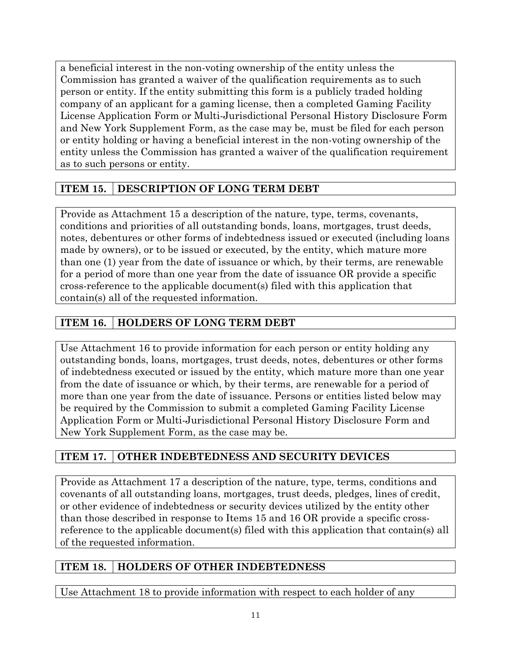a beneficial interest in the non-voting ownership of the entity unless the Commission has granted a waiver of the qualification requirements as to such person or entity. If the entity submitting this form is a publicly traded holding company of an applicant for a gaming license, then a completed Gaming Facility License Application Form or Multi-Jurisdictional Personal History Disclosure Form and New York Supplement Form, as the case may be, must be filed for each person or entity holding or having a beneficial interest in the non-voting ownership of the entity unless the Commission has granted a waiver of the qualification requirement as to such persons or entity.

## **ITEM 15. DESCRIPTION OF LONG TERM DEBT**

Provide as Attachment 15 a description of the nature, type, terms, covenants, conditions and priorities of all outstanding bonds, loans, mortgages, trust deeds, notes, debentures or other forms of indebtedness issued or executed (including loans made by owners), or to be issued or executed, by the entity, which mature more than one (1) year from the date of issuance or which, by their terms, are renewable for a period of more than one year from the date of issuance OR provide a specific cross-reference to the applicable document(s) filed with this application that contain(s) all of the requested information.

## **ITEM 16. HOLDERS OF LONG TERM DEBT**

Use Attachment 16 to provide information for each person or entity holding any outstanding bonds, loans, mortgages, trust deeds, notes, debentures or other forms of indebtedness executed or issued by the entity, which mature more than one year from the date of issuance or which, by their terms, are renewable for a period of more than one year from the date of issuance. Persons or entities listed below may be required by the Commission to submit a completed Gaming Facility License Application Form or Multi-Jurisdictional Personal History Disclosure Form and New York Supplement Form, as the case may be.

## **ITEM 17. OTHER INDEBTEDNESS AND SECURITY DEVICES**

Provide as Attachment 17 a description of the nature, type, terms, conditions and covenants of all outstanding loans, mortgages, trust deeds, pledges, lines of credit, or other evidence of indebtedness or security devices utilized by the entity other than those described in response to Items 15 and 16 OR provide a specific crossreference to the applicable document(s) filed with this application that contain(s) all of the requested information.

## **ITEM 18. HOLDERS OF OTHER INDEBTEDNESS**

Use Attachment 18 to provide information with respect to each holder of any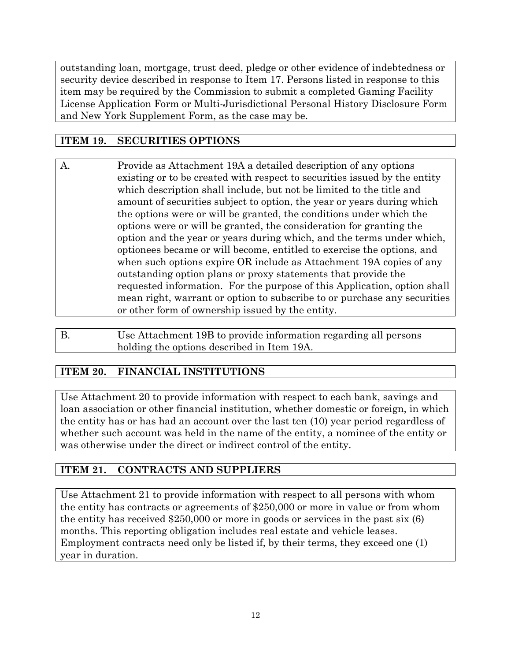outstanding loan, mortgage, trust deed, pledge or other evidence of indebtedness or security device described in response to Item 17. Persons listed in response to this item may be required by the Commission to submit a completed Gaming Facility License Application Form or Multi-Jurisdictional Personal History Disclosure Form and New York Supplement Form, as the case may be.

## **ITEM 19. SECURITIES OPTIONS**

| A | Provide as Attachment 19A a detailed description of any options           |
|---|---------------------------------------------------------------------------|
|   | existing or to be created with respect to securities issued by the entity |
|   | which description shall include, but not be limited to the title and      |
|   | amount of securities subject to option, the year or years during which    |
|   | the options were or will be granted, the conditions under which the       |
|   | options were or will be granted, the consideration for granting the       |
|   | option and the year or years during which, and the terms under which,     |
|   | optionees became or will become, entitled to exercise the options, and    |
|   | when such options expire OR include as Attachment 19A copies of any       |
|   | outstanding option plans or proxy statements that provide the             |
|   | requested information. For the purpose of this Application, option shall  |
|   | mean right, warrant or option to subscribe to or purchase any securities  |
|   | or other form of ownership issued by the entity.                          |

| Use Attachment 19B to provide information regarding all persons |
|-----------------------------------------------------------------|
| I holding the options described in Item 19A.                    |

## **ITEM 20. FINANCIAL INSTITUTIONS**

Use Attachment 20 to provide information with respect to each bank, savings and loan association or other financial institution, whether domestic or foreign, in which the entity has or has had an account over the last ten (10) year period regardless of whether such account was held in the name of the entity, a nominee of the entity or was otherwise under the direct or indirect control of the entity.

## **ITEM 21. CONTRACTS AND SUPPLIERS**

Use Attachment 21 to provide information with respect to all persons with whom the entity has contracts or agreements of \$250,000 or more in value or from whom the entity has received \$250,000 or more in goods or services in the past six (6) months. This reporting obligation includes real estate and vehicle leases. Employment contracts need only be listed if, by their terms, they exceed one (1) year in duration.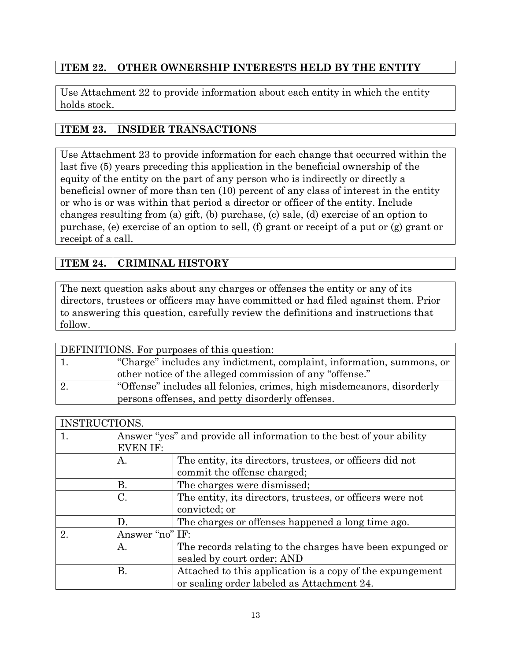## **ITEM 22. OTHER OWNERSHIP INTERESTS HELD BY THE ENTITY**

Use Attachment 22 to provide information about each entity in which the entity holds stock.

## **ITEM 23. INSIDER TRANSACTIONS**

Use Attachment 23 to provide information for each change that occurred within the last five (5) years preceding this application in the beneficial ownership of the equity of the entity on the part of any person who is indirectly or directly a beneficial owner of more than ten (10) percent of any class of interest in the entity or who is or was within that period a director or officer of the entity. Include changes resulting from (a) gift, (b) purchase, (c) sale, (d) exercise of an option to purchase, (e) exercise of an option to sell, (f) grant or receipt of a put or (g) grant or receipt of a call.

## **ITEM 24. CRIMINAL HISTORY**

The next question asks about any charges or offenses the entity or any of its directors, trustees or officers may have committed or had filed against them. Prior to answering this question, carefully review the definitions and instructions that follow.

| DEFINITIONS. For purposes of this question: |                                                                        |  |  |  |
|---------------------------------------------|------------------------------------------------------------------------|--|--|--|
|                                             | "Charge" includes any indictment, complaint, information, summons, or  |  |  |  |
|                                             | other notice of the alleged commission of any "offense."               |  |  |  |
|                                             | "Offense" includes all felonies, crimes, high misdemeanors, disorderly |  |  |  |
|                                             | persons offenses, and petty disorderly offenses.                       |  |  |  |

| INSTRUCTIONS. |                 |                                                                      |  |  |  |  |
|---------------|-----------------|----------------------------------------------------------------------|--|--|--|--|
| 1.            |                 | Answer "yes" and provide all information to the best of your ability |  |  |  |  |
|               | <b>EVEN IF:</b> |                                                                      |  |  |  |  |
|               | А.              | The entity, its directors, trustees, or officers did not             |  |  |  |  |
|               |                 | commit the offense charged;                                          |  |  |  |  |
|               | В.              | The charges were dismissed;                                          |  |  |  |  |
|               | C.              | The entity, its directors, trustees, or officers were not            |  |  |  |  |
|               |                 | convicted; or                                                        |  |  |  |  |
|               | D.              | The charges or offenses happened a long time ago.                    |  |  |  |  |
| 2.            | Answer "no" IF: |                                                                      |  |  |  |  |
|               | А.              | The records relating to the charges have been expunged or            |  |  |  |  |
|               |                 | sealed by court order; AND                                           |  |  |  |  |
|               | Β.              | Attached to this application is a copy of the expungement            |  |  |  |  |
|               |                 | or sealing order labeled as Attachment 24.                           |  |  |  |  |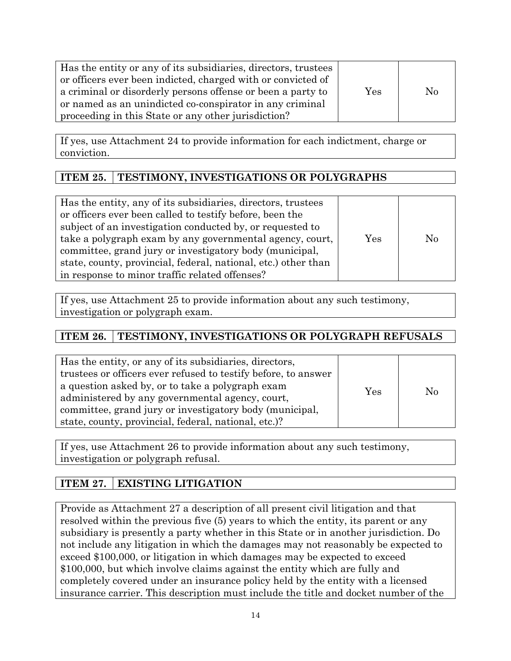| Has the entity or any of its subsidiaries, directors, trustees<br>or officers ever been indicted, charged with or convicted of<br>a criminal or disorderly persons offense or been a party to<br>or named as an unindicted co-conspirator in any criminal<br>proceeding in this State or any other jurisdiction? | Yes | $\rm No$ |
|------------------------------------------------------------------------------------------------------------------------------------------------------------------------------------------------------------------------------------------------------------------------------------------------------------------|-----|----------|
|------------------------------------------------------------------------------------------------------------------------------------------------------------------------------------------------------------------------------------------------------------------------------------------------------------------|-----|----------|

If yes, use Attachment 24 to provide information for each indictment, charge or conviction.

## **ITEM 25.** TESTIMONY, INVESTIGATIONS OR POLYGRAPHS

| Has the entity, any of its subsidiaries, directors, trustees   |     |          |
|----------------------------------------------------------------|-----|----------|
| or officers ever been called to testify before, been the       |     |          |
| subject of an investigation conducted by, or requested to      |     |          |
| take a polygraph exam by any governmental agency, court,       | Yes | $\rm No$ |
| committee, grand jury or investigatory body (municipal,        |     |          |
| state, county, provincial, federal, national, etc.) other than |     |          |
| in response to minor traffic related offenses?                 |     |          |

If yes, use Attachment 25 to provide information about any such testimony, investigation or polygraph exam.

## **ITEM 26. TESTIMONY, INVESTIGATIONS OR POLYGRAPH REFUSALS**

| Has the entity, or any of its subsidiaries, directors,         |     |          |
|----------------------------------------------------------------|-----|----------|
| trustees or officers ever refused to testify before, to answer |     |          |
| a question asked by, or to take a polygraph exam               | Yes | $\rm No$ |
| administered by any governmental agency, court,                |     |          |
| committee, grand jury or investigatory body (municipal,        |     |          |
| state, county, provincial, federal, national, etc.)?           |     |          |

If yes, use Attachment 26 to provide information about any such testimony, investigation or polygraph refusal.

## **ITEM 27. EXISTING LITIGATION**

Provide as Attachment 27 a description of all present civil litigation and that resolved within the previous five (5) years to which the entity, its parent or any subsidiary is presently a party whether in this State or in another jurisdiction. Do not include any litigation in which the damages may not reasonably be expected to exceed \$100,000, or litigation in which damages may be expected to exceed \$100,000, but which involve claims against the entity which are fully and completely covered under an insurance policy held by the entity with a licensed insurance carrier. This description must include the title and docket number of the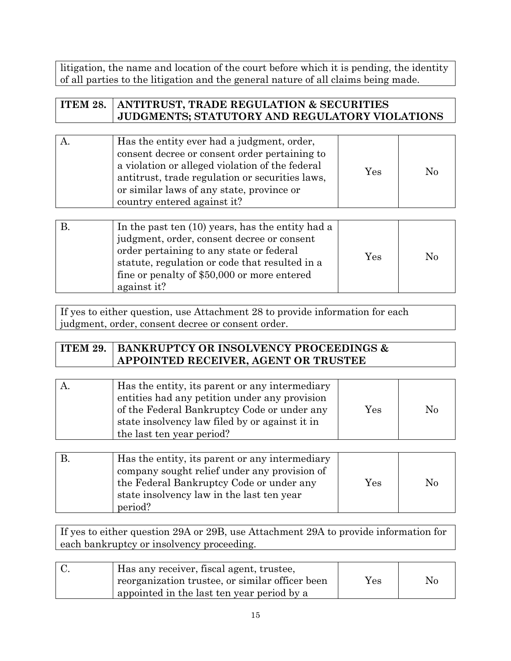litigation, the name and location of the court before which it is pending, the identity of all parties to the litigation and the general nature of all claims being made.

| <b>ITEM 28.   ANTITRUST, TRADE REGULATION &amp; SECURITIES</b> |
|----------------------------------------------------------------|
| JUDGMENTS; STATUTORY AND REGULATORY VIOLATIONS                 |
|                                                                |

|  | Has the entity ever had a judgment, order,<br>consent decree or consent order pertaining to<br>a violation or alleged violation of the federal<br>antitrust, trade regulation or securities laws,<br>or similar laws of any state, province or<br>country entered against it? | Yes | $\overline{N}$ |
|--|-------------------------------------------------------------------------------------------------------------------------------------------------------------------------------------------------------------------------------------------------------------------------------|-----|----------------|
|--|-------------------------------------------------------------------------------------------------------------------------------------------------------------------------------------------------------------------------------------------------------------------------------|-----|----------------|

|  | In the past ten $(10)$ years, has the entity had a<br>judgment, order, consent decree or consent<br>order pertaining to any state or federal<br>statute, regulation or code that resulted in a<br>fine or penalty of \$50,000 or more entered<br>against it? | Yes | No |
|--|--------------------------------------------------------------------------------------------------------------------------------------------------------------------------------------------------------------------------------------------------------------|-----|----|
|--|--------------------------------------------------------------------------------------------------------------------------------------------------------------------------------------------------------------------------------------------------------------|-----|----|

If yes to either question, use Attachment 28 to provide information for each judgment, order, consent decree or consent order.

| <b>ITEM 29. BANKRUPTCY OR INSOLVENCY PROCEEDINGS &amp;</b> |
|------------------------------------------------------------|
| <b>APPOINTED RECEIVER, AGENT OR TRUSTEE</b>                |

| Has the entity, its parent or any intermediary |                      |          |
|------------------------------------------------|----------------------|----------|
| entities had any petition under any provision  |                      |          |
| of the Federal Bankruptcy Code or under any    | $\operatorname{Yes}$ | $\rm No$ |
| state insolvency law filed by or against it in |                      |          |
| the last ten year period?                      |                      |          |

| Has the entity, its parent or any intermediary<br>company sought relief under any provision of<br>the Federal Bankruptcy Code or under any<br>state insolvency law in the last ten year<br>period? | Yes | No |
|----------------------------------------------------------------------------------------------------------------------------------------------------------------------------------------------------|-----|----|
|                                                                                                                                                                                                    |     |    |

If yes to either question 29A or 29B, use Attachment 29A to provide information for each bankruptcy or insolvency proceeding.

| Has any receiver, fiscal agent, trustee,        |     |    |
|-------------------------------------------------|-----|----|
| reorganization trustee, or similar officer been | Yes | Nc |
| appointed in the last ten year period by a      |     |    |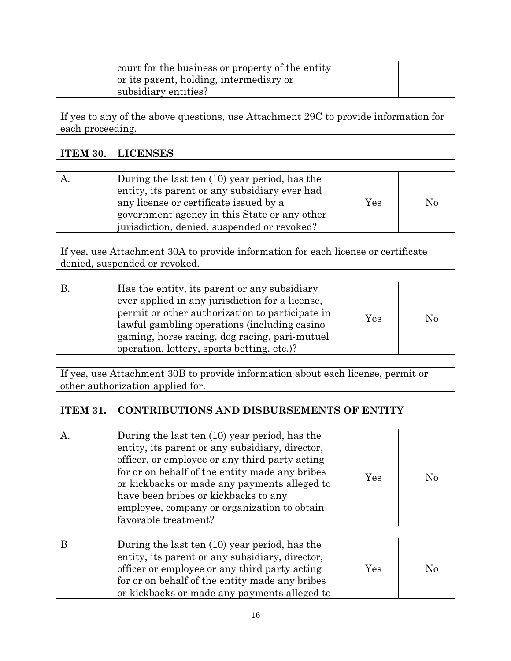| court for the business or property of the entity<br>or its parent, holding, intermediary or |  |
|---------------------------------------------------------------------------------------------|--|
| subsidiary entities?                                                                        |  |

If yes to any of the above questions, use Attachment 29C to provide information for each proceeding.

| <b>ITEM 30. LICENSES</b>                                                                                                                                                                 |     |          |
|------------------------------------------------------------------------------------------------------------------------------------------------------------------------------------------|-----|----------|
|                                                                                                                                                                                          |     |          |
| During the last ten (10) year period, has the<br>entity, its parent or any subsidiary ever had<br>any license or certificate issued by a<br>government agency in this State or any other | Yes | $\rm No$ |

If yes, use Attachment 30A to provide information for each license or certificate denied, suspended or revoked.

jurisdiction, denied, suspended or revoked?

| Has the entity, its parent or any subsidiary<br>ever applied in any jurisdiction for a license,<br>permit or other authorization to participate in<br>lawful gambling operations (including casino | Yes | $\rm No$ |
|----------------------------------------------------------------------------------------------------------------------------------------------------------------------------------------------------|-----|----------|
| gaming, horse racing, dog racing, pari-mutuel                                                                                                                                                      |     |          |
| operation, lottery, sports betting, etc.)?                                                                                                                                                         |     |          |

If yes, use Attachment 30B to provide information about each license, permit or other authorization applied for.

## **ITEM 31. CONTRIBUTIONS AND DISBURSEMENTS OF ENTITY**

| During the last ten (10) year period, has the<br>entity, its parent or any subsidiary, director,<br>officer, or employee or any third party acting<br>for or on behalf of the entity made any bribes<br>or kickbacks or made any payments alleged to<br>have been bribes or kickbacks to any<br>employee, company or organization to obtain | $\operatorname{Yes}$ | No |
|---------------------------------------------------------------------------------------------------------------------------------------------------------------------------------------------------------------------------------------------------------------------------------------------------------------------------------------------|----------------------|----|
| favorable treatment?                                                                                                                                                                                                                                                                                                                        |                      |    |

| During the last ten (10) year period, has the<br>entity, its parent or any subsidiary, director,<br>officer or employee or any third party acting<br>for or on behalf of the entity made any bribes<br>or kickbacks or made any payments alleged to | Yes | $\rm No$ |
|-----------------------------------------------------------------------------------------------------------------------------------------------------------------------------------------------------------------------------------------------------|-----|----------|
|-----------------------------------------------------------------------------------------------------------------------------------------------------------------------------------------------------------------------------------------------------|-----|----------|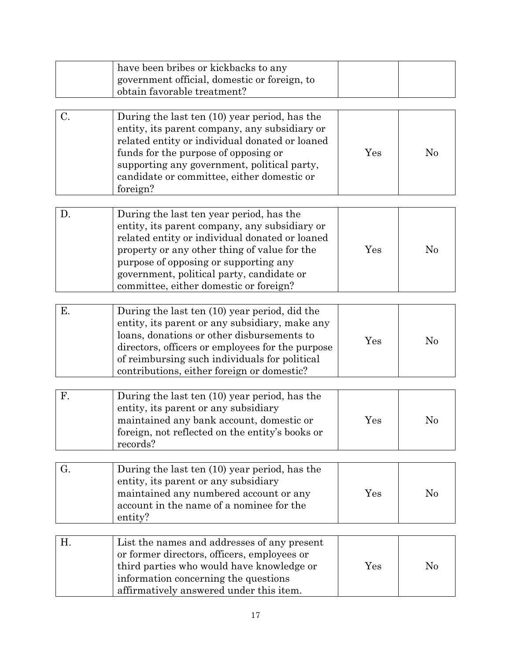|    | have been bribes or kickbacks to any<br>government official, domestic or foreign, to<br>obtain favorable treatment?                                                                                                                                                                                                         |     |                |
|----|-----------------------------------------------------------------------------------------------------------------------------------------------------------------------------------------------------------------------------------------------------------------------------------------------------------------------------|-----|----------------|
| C. | During the last ten (10) year period, has the<br>entity, its parent company, any subsidiary or<br>related entity or individual donated or loaned<br>funds for the purpose of opposing or<br>supporting any government, political party,<br>candidate or committee, either domestic or<br>foreign?                           | Yes | $\rm No$       |
| D. | During the last ten year period, has the<br>entity, its parent company, any subsidiary or<br>related entity or individual donated or loaned<br>property or any other thing of value for the<br>purpose of opposing or supporting any<br>government, political party, candidate or<br>committee, either domestic or foreign? | Yes | $\rm No$       |
| Ε. | During the last ten (10) year period, did the<br>entity, its parent or any subsidiary, make any<br>loans, donations or other disbursements to<br>directors, officers or employees for the purpose<br>of reimbursing such individuals for political<br>contributions, either foreign or domestic?                            | Yes | No             |
| F. | During the last ten (10) year period, has the<br>entity, its parent or any subsidiary<br>maintained any bank account, domestic or<br>foreign, not reflected on the entity's books or<br>records?                                                                                                                            | Yes | N <sub>0</sub> |
| G. | During the last ten (10) year period, has the<br>entity, its parent or any subsidiary<br>maintained any numbered account or any<br>account in the name of a nominee for the<br>entity?                                                                                                                                      | Yes | No             |
| Η. | List the names and addresses of any present<br>or former directors, officers, employees or<br>third parties who would have knowledge or<br>information concerning the questions<br>affirmatively answered under this item.                                                                                                  | Yes | $\rm No$       |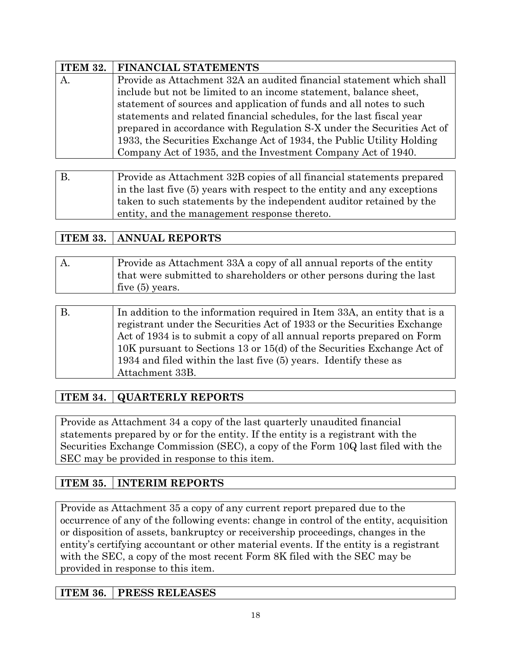|    | <b>ITEM 32.   FINANCIAL STATEMENTS</b>                                 |  |
|----|------------------------------------------------------------------------|--|
| А. | Provide as Attachment 32A an audited financial statement which shall   |  |
|    | include but not be limited to an income statement, balance sheet,      |  |
|    | statement of sources and application of funds and all notes to such    |  |
|    | statements and related financial schedules, for the last fiscal year   |  |
|    | prepared in accordance with Regulation S-X under the Securities Act of |  |
|    | 1933, the Securities Exchange Act of 1934, the Public Utility Holding  |  |
|    | Company Act of 1935, and the Investment Company Act of 1940.           |  |

| $\mathbf{B}$ | Provide as Attachment 32B copies of all financial statements prepared    |
|--------------|--------------------------------------------------------------------------|
|              | in the last five (5) years with respect to the entity and any exceptions |
|              | taken to such statements by the independent auditor retained by the      |
|              | entity, and the management response thereto.                             |

## **ITEM 33. ANNUAL REPORTS**

| A. | Provide as Attachment 33A a copy of all annual reports of the entity |
|----|----------------------------------------------------------------------|
|    | that were submitted to shareholders or other persons during the last |
|    | five $(5)$ years.                                                    |
|    |                                                                      |

| В. | In addition to the information required in Item 33A, an entity that is a |
|----|--------------------------------------------------------------------------|
|    | registrant under the Securities Act of 1933 or the Securities Exchange   |
|    | Act of 1934 is to submit a copy of all annual reports prepared on Form   |
|    | 10K pursuant to Sections 13 or 15(d) of the Securities Exchange Act of   |
|    | 1934 and filed within the last five (5) years. Identify these as         |
|    | Attachment 33B.                                                          |

## **ITEM 34. QUARTERLY REPORTS**

Provide as Attachment 34 a copy of the last quarterly unaudited financial statements prepared by or for the entity. If the entity is a registrant with the Securities Exchange Commission (SEC), a copy of the Form 10Q last filed with the SEC may be provided in response to this item.

## **ITEM 35. INTERIM REPORTS**

Provide as Attachment 35 a copy of any current report prepared due to the occurrence of any of the following events: change in control of the entity, acquisition or disposition of assets, bankruptcy or receivership proceedings, changes in the entity's certifying accountant or other material events. If the entity is a registrant with the SEC, a copy of the most recent Form 8K filed with the SEC may be provided in response to this item.

## **ITEM 36. PRESS RELEASES**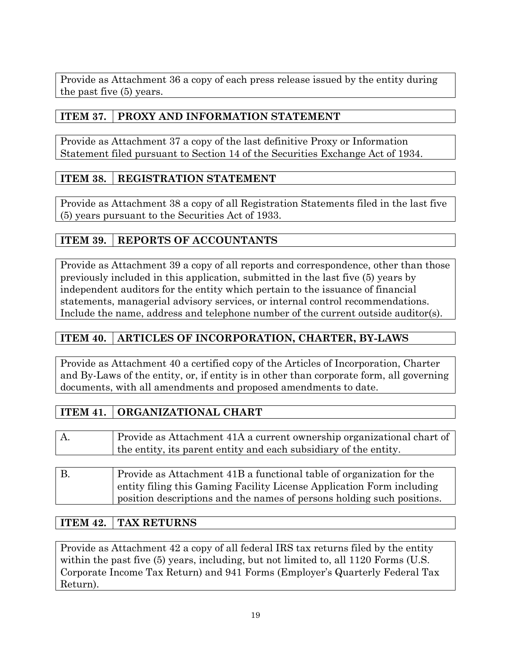Provide as Attachment 36 a copy of each press release issued by the entity during the past five (5) years.

## **ITEM 37. PROXY AND INFORMATION STATEMENT**

Provide as Attachment 37 a copy of the last definitive Proxy or Information Statement filed pursuant to Section 14 of the Securities Exchange Act of 1934.

## **ITEM 38. REGISTRATION STATEMENT**

Provide as Attachment 38 a copy of all Registration Statements filed in the last five (5) years pursuant to the Securities Act of 1933.

## **ITEM 39. REPORTS OF ACCOUNTANTS**

Provide as Attachment 39 a copy of all reports and correspondence, other than those previously included in this application, submitted in the last five (5) years by independent auditors for the entity which pertain to the issuance of financial statements, managerial advisory services, or internal control recommendations. Include the name, address and telephone number of the current outside auditor(s).

## **ITEM 40. ARTICLES OF INCORPORATION, CHARTER, BY-LAWS**

Provide as Attachment 40 a certified copy of the Articles of Incorporation, Charter and By-Laws of the entity, or, if entity is in other than corporate form, all governing documents, with all amendments and proposed amendments to date.

## **ITEM 41. ORGANIZATIONAL CHART**

| А. | Provide as Attachment 41A a current ownership organizational chart of<br>the entity, its parent entity and each subsidiary of the entity. |
|----|-------------------------------------------------------------------------------------------------------------------------------------------|
|    |                                                                                                                                           |

B. Provide as Attachment 41B a functional table of organization for the entity filing this Gaming Facility License Application Form including position descriptions and the names of persons holding such positions.

## **ITEM 42. TAX RETURNS**

Provide as Attachment 42 a copy of all federal IRS tax returns filed by the entity within the past five  $(5)$  years, including, but not limited to, all 1120 Forms (U.S. Corporate Income Tax Return) and 941 Forms (Employer's Quarterly Federal Tax Return).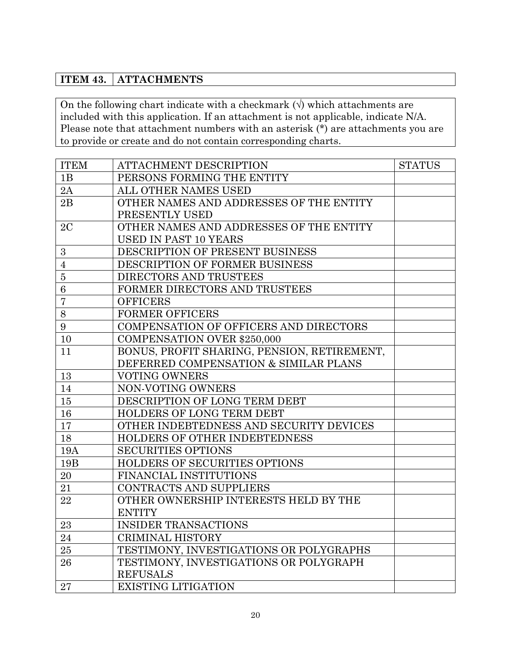## **ITEM 43. ATTACHMENTS**

On the following chart indicate with a checkmark  $(\forall)$  which attachments are included with this application. If an attachment is not applicable, indicate N/A. Please note that attachment numbers with an asterisk (\*) are attachments you are to provide or create and do not contain corresponding charts.

| <b>ITEM</b>    | <b>ATTACHMENT DESCRIPTION</b>               | <b>STATUS</b> |
|----------------|---------------------------------------------|---------------|
| 1B             | PERSONS FORMING THE ENTITY                  |               |
| 2A             | ALL OTHER NAMES USED                        |               |
| 2B             | OTHER NAMES AND ADDRESSES OF THE ENTITY     |               |
|                | PRESENTLY USED                              |               |
| 2C             | OTHER NAMES AND ADDRESSES OF THE ENTITY     |               |
|                | <b>USED IN PAST 10 YEARS</b>                |               |
| 3              | DESCRIPTION OF PRESENT BUSINESS             |               |
| $\overline{4}$ | DESCRIPTION OF FORMER BUSINESS              |               |
| $\overline{5}$ | DIRECTORS AND TRUSTEES                      |               |
| $\,6$          | FORMER DIRECTORS AND TRUSTEES               |               |
| $\overline{7}$ | <b>OFFICERS</b>                             |               |
| $8\,$          | <b>FORMER OFFICERS</b>                      |               |
| 9              | COMPENSATION OF OFFICERS AND DIRECTORS      |               |
| 10             | <b>COMPENSATION OVER \$250,000</b>          |               |
| 11             | BONUS, PROFIT SHARING, PENSION, RETIREMENT, |               |
|                | DEFERRED COMPENSATION & SIMILAR PLANS       |               |
| 13             | <b>VOTING OWNERS</b>                        |               |
| 14             | NON-VOTING OWNERS                           |               |
| 15             | DESCRIPTION OF LONG TERM DEBT               |               |
| 16             | HOLDERS OF LONG TERM DEBT                   |               |
| 17             | OTHER INDEBTEDNESS AND SECURITY DEVICES     |               |
| 18             | HOLDERS OF OTHER INDEBTEDNESS               |               |
| 19A            | <b>SECURITIES OPTIONS</b>                   |               |
| 19B            | HOLDERS OF SECURITIES OPTIONS               |               |
| 20             | FINANCIAL INSTITUTIONS                      |               |
| 21             | CONTRACTS AND SUPPLIERS                     |               |
| 22             | OTHER OWNERSHIP INTERESTS HELD BY THE       |               |
|                | <b>ENTITY</b>                               |               |
| 23             | <b>INSIDER TRANSACTIONS</b>                 |               |
| 24             | CRIMINAL HISTORY                            |               |
| 25             | TESTIMONY, INVESTIGATIONS OR POLYGRAPHS     |               |
| 26             | TESTIMONY, INVESTIGATIONS OR POLYGRAPH      |               |
|                | <b>REFUSALS</b>                             |               |
| 27             | <b>EXISTING LITIGATION</b>                  |               |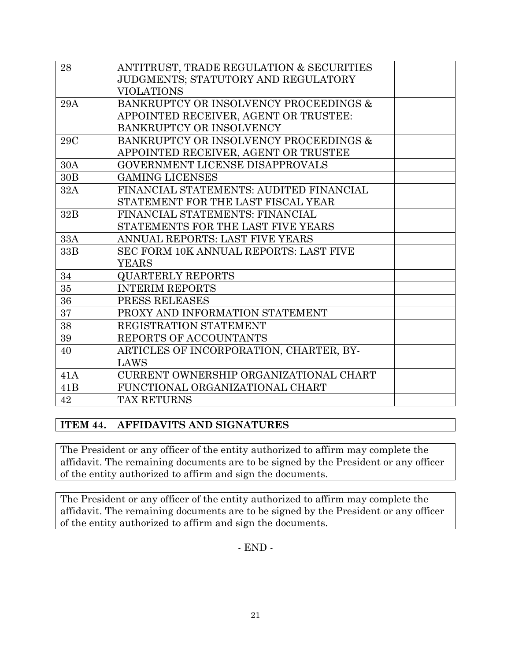| 28  | ANTITRUST, TRADE REGULATION & SECURITIES |
|-----|------------------------------------------|
|     | JUDGMENTS; STATUTORY AND REGULATORY      |
|     | <b>VIOLATIONS</b>                        |
| 29A | BANKRUPTCY OR INSOLVENCY PROCEEDINGS &   |
|     | APPOINTED RECEIVER, AGENT OR TRUSTEE:    |
|     | BANKRUPTCY OR INSOLVENCY                 |
| 29C | BANKRUPTCY OR INSOLVENCY PROCEEDINGS &   |
|     | APPOINTED RECEIVER, AGENT OR TRUSTEE     |
| 30A | GOVERNMENT LICENSE DISAPPROVALS          |
| 30B | <b>GAMING LICENSES</b>                   |
| 32A | FINANCIAL STATEMENTS: AUDITED FINANCIAL  |
|     | STATEMENT FOR THE LAST FISCAL YEAR       |
| 32B | FINANCIAL STATEMENTS: FINANCIAL          |
|     | STATEMENTS FOR THE LAST FIVE YEARS       |
| 33A | ANNUAL REPORTS: LAST FIVE YEARS          |
| 33B | SEC FORM 10K ANNUAL REPORTS: LAST FIVE   |
|     | <b>YEARS</b>                             |
| 34  | <b>QUARTERLY REPORTS</b>                 |
| 35  | <b>INTERIM REPORTS</b>                   |
| 36  | PRESS RELEASES                           |
| 37  | PROXY AND INFORMATION STATEMENT          |
| 38  | REGISTRATION STATEMENT                   |
| 39  | REPORTS OF ACCOUNTANTS                   |
| 40  | ARTICLES OF INCORPORATION, CHARTER, BY-  |
|     | LAWS                                     |
| 41A | CURRENT OWNERSHIP ORGANIZATIONAL CHART   |
| 41B | FUNCTIONAL ORGANIZATIONAL CHART          |
| 42  | <b>TAX RETURNS</b>                       |

## **ITEM 44. AFFIDAVITS AND SIGNATURES**

The President or any officer of the entity authorized to affirm may complete the affidavit. The remaining documents are to be signed by the President or any officer of the entity authorized to affirm and sign the documents.

The President or any officer of the entity authorized to affirm may complete the affidavit. The remaining documents are to be signed by the President or any officer of the entity authorized to affirm and sign the documents.

- END -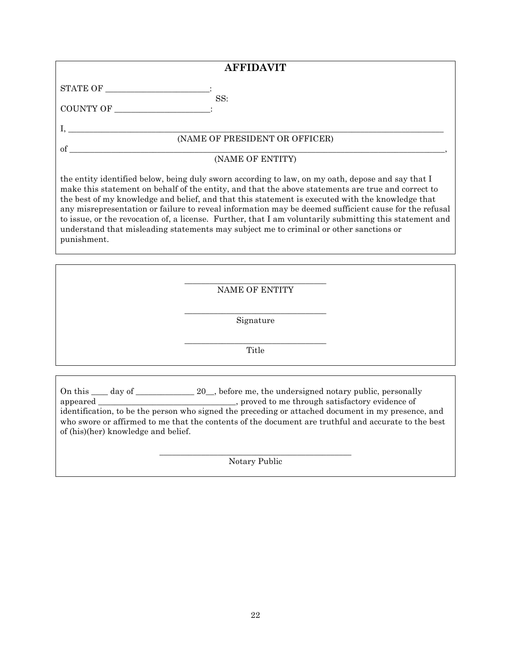|                                                          | <b>AFFIDAVIT</b>                                                                                                                                                                                                                                                                                                                                                                                                                                                                                                                                                                                                          |
|----------------------------------------------------------|---------------------------------------------------------------------------------------------------------------------------------------------------------------------------------------------------------------------------------------------------------------------------------------------------------------------------------------------------------------------------------------------------------------------------------------------------------------------------------------------------------------------------------------------------------------------------------------------------------------------------|
| $\begin{tabular}{c} \bf STATE OF \end{tabular}$          |                                                                                                                                                                                                                                                                                                                                                                                                                                                                                                                                                                                                                           |
| COUNTY OF                                                | SS:                                                                                                                                                                                                                                                                                                                                                                                                                                                                                                                                                                                                                       |
| $\,$ I, $\_\_\_\_\_\_\_\$ (NAME OF PRESIDENT OR OFFICER) |                                                                                                                                                                                                                                                                                                                                                                                                                                                                                                                                                                                                                           |
|                                                          |                                                                                                                                                                                                                                                                                                                                                                                                                                                                                                                                                                                                                           |
|                                                          | (NAME OF ENTITY)                                                                                                                                                                                                                                                                                                                                                                                                                                                                                                                                                                                                          |
| punishment.                                              | the entity identified below, being duly sworn according to law, on my oath, depose and say that I<br>make this statement on behalf of the entity, and that the above statements are true and correct to<br>the best of my knowledge and belief, and that this statement is executed with the knowledge that<br>any misrepresentation or failure to reveal information may be deemed sufficient cause for the refusal<br>to issue, or the revocation of, a license. Further, that I am voluntarily submitting this statement and<br>understand that misleading statements may subject me to criminal or other sanctions or |
|                                                          |                                                                                                                                                                                                                                                                                                                                                                                                                                                                                                                                                                                                                           |
|                                                          | <b>NAME OF ENTITY</b>                                                                                                                                                                                                                                                                                                                                                                                                                                                                                                                                                                                                     |
|                                                          | Signature                                                                                                                                                                                                                                                                                                                                                                                                                                                                                                                                                                                                                 |
|                                                          | Title                                                                                                                                                                                                                                                                                                                                                                                                                                                                                                                                                                                                                     |
|                                                          |                                                                                                                                                                                                                                                                                                                                                                                                                                                                                                                                                                                                                           |

On this \_\_\_\_ day of \_\_\_\_\_\_\_\_\_\_\_\_\_\_ 20\_, before me, the undersigned notary public, personally appeared \_\_\_\_\_\_\_\_\_\_\_\_\_\_\_\_\_\_\_\_\_\_\_\_\_\_\_\_\_\_\_\_\_, proved to me through satisfactory evidence of identification, to be the person who signed the preceding or attached document in my presence, and who swore or affirmed to me that the contents of the document are truthful and accurate to the best of (his)(her) knowledge and belief.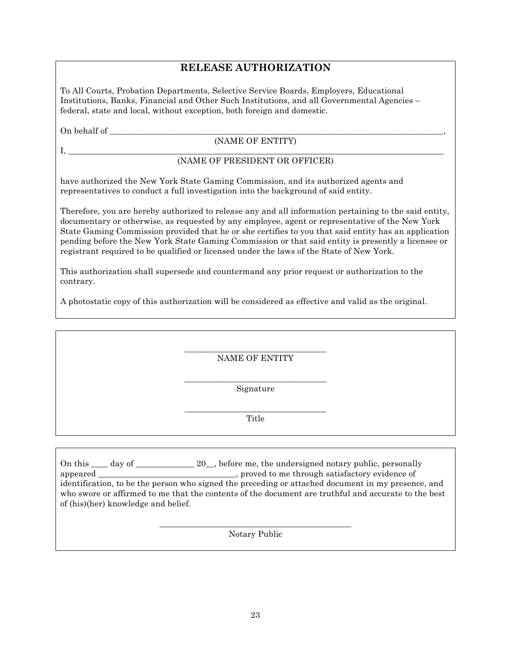## **RELEASE AUTHORIZATION**

To All Courts, Probation Departments, Selective Service Boards, Employers, Educational Institutions, Banks, Financial and Other Such Institutions, and all Governmental Agencies – federal, state and local, without exception, both foreign and domestic.

On behalf of \_\_\_\_\_\_\_\_\_\_\_\_\_\_\_\_\_\_\_\_\_\_\_\_\_\_\_\_\_\_\_\_\_\_\_\_\_\_\_\_\_\_\_\_\_\_\_\_\_\_\_\_\_\_\_\_\_\_\_\_\_\_\_\_\_\_\_\_\_\_\_\_\_\_\_\_\_\_\_\_,

### (NAME OF ENTITY)

I, \_\_\_\_\_\_\_\_\_\_\_\_\_\_\_\_\_\_\_\_\_\_\_\_\_\_\_\_\_\_\_\_\_\_\_\_\_\_\_\_\_\_\_\_\_\_\_\_\_\_\_\_\_\_\_\_\_\_\_\_\_\_\_\_\_\_\_\_\_\_\_\_\_\_\_\_\_\_\_\_\_\_\_\_\_\_\_\_\_\_

### (NAME OF PRESIDENT OR OFFICER)

have authorized the New York State Gaming Commission, and its authorized agents and representatives to conduct a full investigation into the background of said entity.

Therefore, you are hereby authorized to release any and all information pertaining to the said entity, documentary or otherwise, as requested by any employee, agent or representative of the New York State Gaming Commission provided that he or she certifies to you that said entity has an application pending before the New York State Gaming Commission or that said entity is presently a licensee or registrant required to be qualified or licensed under the laws of the State of New York.

This authorization shall supersede and countermand any prior request or authorization to the contrary.

A photostatic copy of this authorization will be considered as effective and valid as the original.

\_\_\_\_\_\_\_\_\_\_\_\_\_\_\_\_\_\_\_\_\_\_\_\_\_\_\_\_\_\_\_\_\_\_ NAME OF ENTITY

\_\_\_\_\_\_\_\_\_\_\_\_\_\_\_\_\_\_\_\_\_\_\_\_\_\_\_\_\_\_\_\_\_\_ Signature

\_\_\_\_\_\_\_\_\_\_\_\_\_\_\_\_\_\_\_\_\_\_\_\_\_\_\_\_\_\_\_\_\_\_ Title

On this \_\_\_\_ day of \_\_\_\_\_\_\_\_\_\_\_\_\_ 20\_, before me, the undersigned notary public, personally appeared \_\_\_\_\_\_\_\_\_\_\_\_\_\_\_\_\_\_\_\_\_\_\_\_\_\_\_\_\_\_\_\_\_, proved to me through satisfactory evidence of identification, to be the person who signed the preceding or attached document in my presence, and who swore or affirmed to me that the contents of the document are truthful and accurate to the best of (his)(her) knowledge and belief.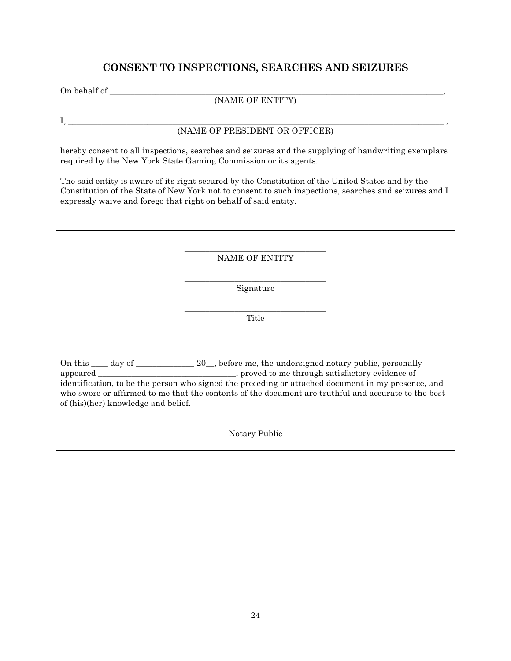## **CONSENT TO INSPECTIONS, SEARCHES AND SEIZURES**

On behalf of \_\_\_\_\_\_\_\_\_\_\_\_\_\_\_\_\_\_\_\_\_\_\_\_\_\_\_\_\_\_\_\_\_\_\_\_\_\_\_\_\_\_\_\_\_\_\_\_\_\_\_\_\_\_\_\_\_\_\_\_\_\_\_\_\_\_\_\_\_\_\_\_\_\_\_\_\_\_\_\_,

### (NAME OF ENTITY)

### I, \_\_\_\_\_\_\_\_\_\_\_\_\_\_\_\_\_\_\_\_\_\_\_\_\_\_\_\_\_\_\_\_\_\_\_\_\_\_\_\_\_\_\_\_\_\_\_\_\_\_\_\_\_\_\_\_\_\_\_\_\_\_\_\_\_\_\_\_\_\_\_\_\_\_\_\_\_\_\_\_\_\_\_\_\_\_\_\_\_\_ , (NAME OF PRESIDENT OR OFFICER)

hereby consent to all inspections, searches and seizures and the supplying of handwriting exemplars required by the New York State Gaming Commission or its agents.

The said entity is aware of its right secured by the Constitution of the United States and by the Constitution of the State of New York not to consent to such inspections, searches and seizures and I expressly waive and forego that right on behalf of said entity.

### \_\_\_\_\_\_\_\_\_\_\_\_\_\_\_\_\_\_\_\_\_\_\_\_\_\_\_\_\_\_\_\_\_\_ NAME OF ENTITY

\_\_\_\_\_\_\_\_\_\_\_\_\_\_\_\_\_\_\_\_\_\_\_\_\_\_\_\_\_\_\_\_\_\_ Signature

\_\_\_\_\_\_\_\_\_\_\_\_\_\_\_\_\_\_\_\_\_\_\_\_\_\_\_\_\_\_\_\_\_\_ Title

On this \_\_\_\_ day of \_\_\_\_\_\_\_\_\_\_\_\_\_ 20\_, before me, the undersigned notary public, personally appeared \_\_\_\_\_\_\_\_\_\_\_\_\_\_\_\_\_\_\_\_\_\_\_\_\_\_\_\_, proved to me through satisfactory evidence of identification, to be the person who signed the preceding or attached document in my presence, and who swore or affirmed to me that the contents of the document are truthful and accurate to the best of (his)(her) knowledge and belief.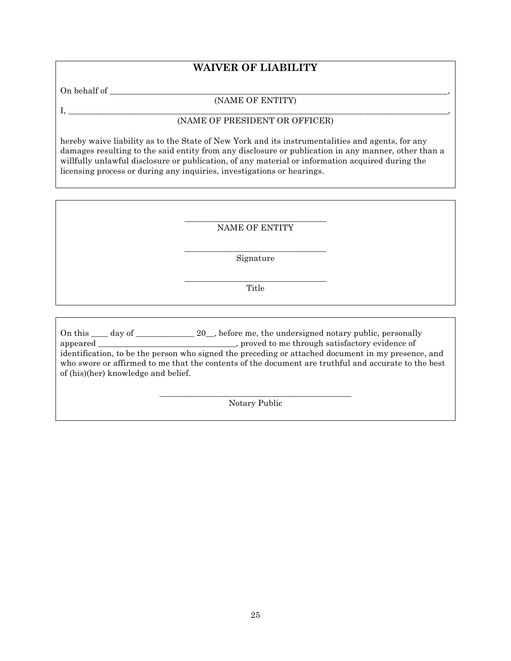## **WAIVER OF LIABILITY**

On behalf of \_\_\_\_\_\_\_\_\_\_\_\_\_\_\_\_\_\_\_\_\_\_\_\_\_\_\_\_\_\_\_\_\_\_\_\_\_\_\_\_\_\_\_\_\_\_\_\_\_\_\_\_\_\_\_\_\_\_\_\_\_\_\_\_\_\_\_\_\_\_\_\_\_\_\_\_\_\_\_\_\_,

### (NAME OF ENTITY) I, \_\_\_\_\_\_\_\_\_\_\_\_\_\_\_\_\_\_\_\_\_\_\_\_\_\_\_\_\_\_\_\_\_\_\_\_\_\_\_\_\_\_\_\_\_\_\_\_\_\_\_\_\_\_\_\_\_\_\_\_\_\_\_\_\_\_\_\_\_\_\_\_\_\_\_\_\_\_\_\_\_\_\_\_\_\_\_\_\_\_\_,

### (NAME OF PRESIDENT OR OFFICER)

hereby waive liability as to the State of New York and its instrumentalities and agents, for any damages resulting to the said entity from any disclosure or publication in any manner, other than a willfully unlawful disclosure or publication, of any material or information acquired during the licensing process or during any inquiries, investigations or hearings.

> \_\_\_\_\_\_\_\_\_\_\_\_\_\_\_\_\_\_\_\_\_\_\_\_\_\_\_\_\_\_\_\_\_\_ NAME OF ENTITY

> \_\_\_\_\_\_\_\_\_\_\_\_\_\_\_\_\_\_\_\_\_\_\_\_\_\_\_\_\_\_\_\_\_\_ Signature

> \_\_\_\_\_\_\_\_\_\_\_\_\_\_\_\_\_\_\_\_\_\_\_\_\_\_\_\_\_\_\_\_\_\_ Title

On this \_\_\_\_ day of \_\_\_\_\_\_\_\_\_\_\_\_\_ 20\_, before me, the undersigned notary public, personally appeared \_\_\_\_\_\_\_\_\_\_\_\_\_\_\_\_\_\_\_\_\_\_\_\_\_\_\_\_\_\_, proved to me through satisfactory evidence of identification, to be the person who signed the preceding or attached document in my presence, and who swore or affirmed to me that the contents of the document are truthful and accurate to the best of (his)(her) knowledge and belief.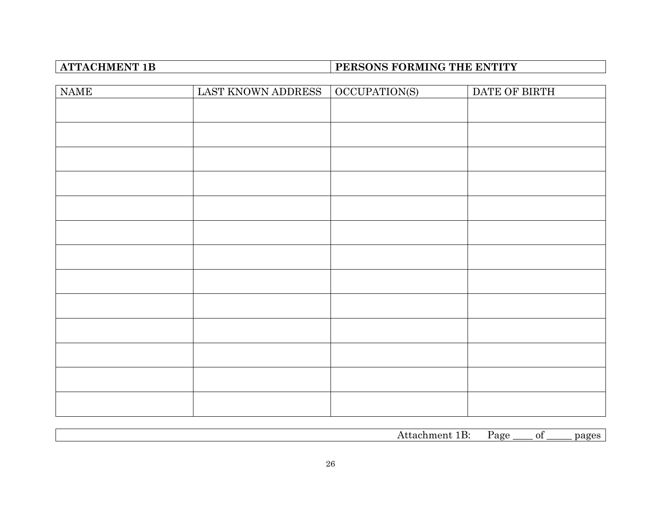# **ATTACHMENT 1B PERSONS FORMING THE ENTITY**

| <b>NAME</b> | LAST KNOWN ADDRESS | OCCUPATION(S) | DATE OF BIRTH |
|-------------|--------------------|---------------|---------------|
|             |                    |               |               |
|             |                    |               |               |
|             |                    |               |               |
|             |                    |               |               |
|             |                    |               |               |
|             |                    |               |               |
|             |                    |               |               |
|             |                    |               |               |
|             |                    |               |               |
|             |                    |               |               |
|             |                    |               |               |
|             |                    |               |               |
|             |                    |               |               |

| ¬ … | AC<br>. | Ωt | $\sim$ $\sim$ $\sim$<br> |
|-----|---------|----|--------------------------|
|     |         |    |                          |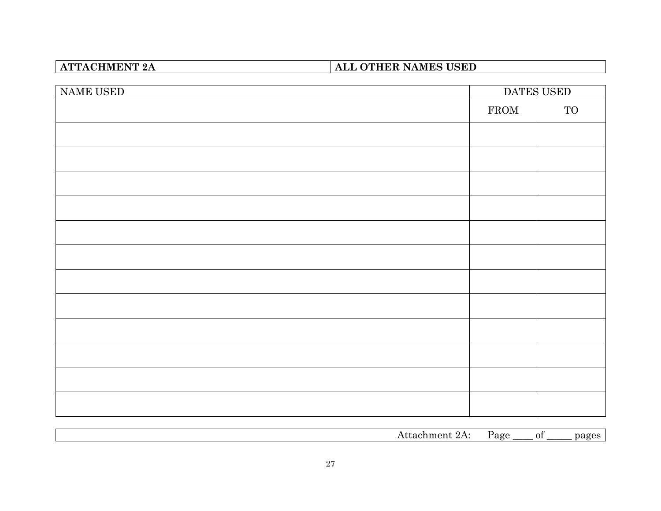# **ATTACHMENT 2A ALL OTHER NAMES USED**

| NAME USED | DATES USED   |           |
|-----------|--------------|-----------|
|           | ${\rm FROM}$ | <b>TO</b> |
|           |              |           |
|           |              |           |
|           |              |           |
|           |              |           |
|           |              |           |
|           |              |           |
|           |              |           |
|           |              |           |
|           |              |           |
|           |              |           |
|           |              |           |
|           |              |           |
|           |              |           |

Attachment 2A: Page \_\_\_\_ of \_\_\_\_\_ pages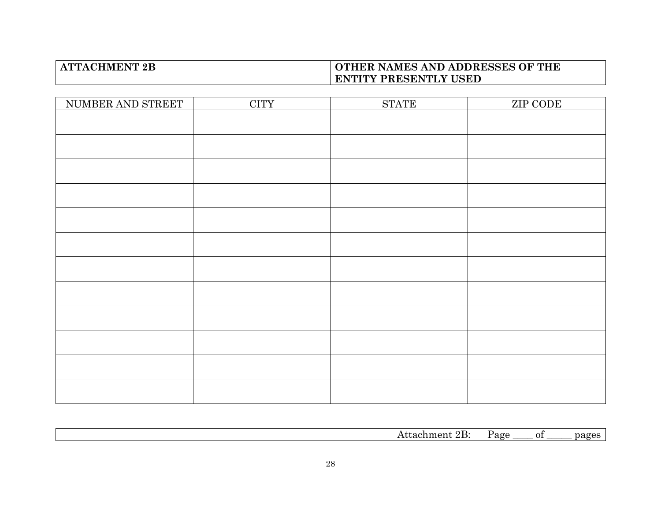## **ATTACHMENT 2B OTHER NAMES AND ADDRESSES OF THE ENTITY PRESENTLY USED**

| NUMBER AND STREET | $\overline{\text{CITY}}$ | $\operatorname{STATE}$ | ZIP CODE |
|-------------------|--------------------------|------------------------|----------|
|                   |                          |                        |          |
|                   |                          |                        |          |
|                   |                          |                        |          |
|                   |                          |                        |          |
|                   |                          |                        |          |
|                   |                          |                        |          |
|                   |                          |                        |          |
|                   |                          |                        |          |
|                   |                          |                        |          |
|                   |                          |                        |          |
|                   |                          |                        |          |
|                   |                          |                        |          |

|  | `<br>. |  |
|--|--------|--|
|  |        |  |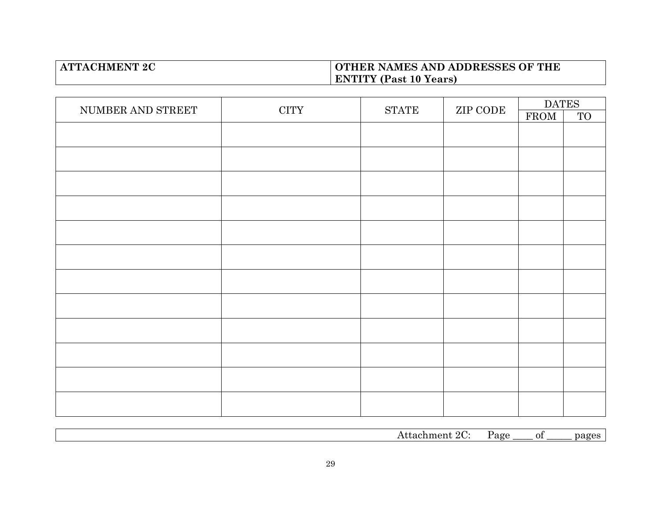## **ATTACHMENT 2C OTHER NAMES AND ADDRESSES OF THE ENTITY (Past 10 Years)**

| NUMBER AND STREET | <b>CITY</b> | <b>STATE</b> | ZIP CODE | <b>DATES</b> |           |
|-------------------|-------------|--------------|----------|--------------|-----------|
|                   |             |              |          | FROM         | <b>TO</b> |
|                   |             |              |          |              |           |
|                   |             |              |          |              |           |
|                   |             |              |          |              |           |
|                   |             |              |          |              |           |
|                   |             |              |          |              |           |
|                   |             |              |          |              |           |
|                   |             |              |          |              |           |
|                   |             |              |          |              |           |
|                   |             |              |          |              |           |
|                   |             |              |          |              |           |
|                   |             |              |          |              |           |
|                   |             |              |          |              |           |
|                   |             |              |          |              |           |

Attachment 2C: Page \_\_\_\_ of \_\_\_\_\_ pages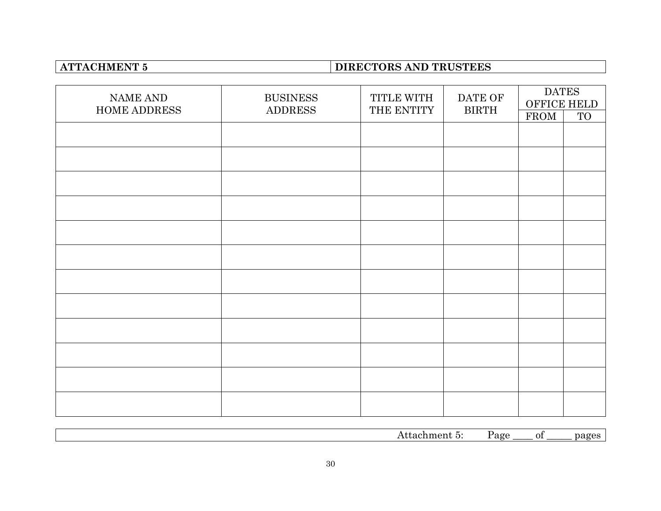# **ATTACHMENT 5 DIRECTORS AND TRUSTEES**

| NAME AND<br>HOME ADDRESS | <b>BUSINESS</b><br><b>ADDRESS</b> | TITLE WITH<br>THE ENTITY | DATE OF<br><b>BIRTH</b> | <b>DATES</b><br>OFFICE HELD |           |
|--------------------------|-----------------------------------|--------------------------|-------------------------|-----------------------------|-----------|
|                          |                                   |                          |                         | <b>FROM</b>                 | <b>TO</b> |
|                          |                                   |                          |                         |                             |           |
|                          |                                   |                          |                         |                             |           |
|                          |                                   |                          |                         |                             |           |
|                          |                                   |                          |                         |                             |           |
|                          |                                   |                          |                         |                             |           |
|                          |                                   |                          |                         |                             |           |
|                          |                                   |                          |                         |                             |           |
|                          |                                   |                          |                         |                             |           |
|                          |                                   |                          |                         |                             |           |
|                          |                                   |                          |                         |                             |           |
|                          |                                   |                          |                         |                             |           |
|                          |                                   |                          |                         |                             |           |

Attachment 5: Page \_\_\_\_ of \_\_\_\_\_ pages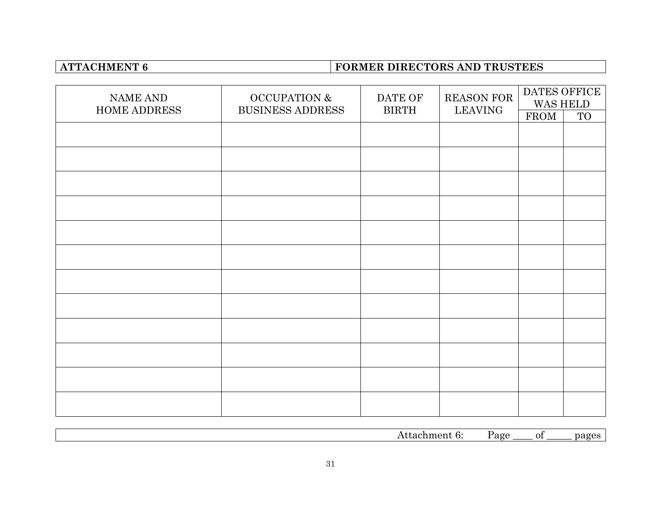# **ATTACHMENT 6 FORMER DIRECTORS AND TRUSTEES**

| NAME AND<br><b>HOME ADDRESS</b> | <b>OCCUPATION &amp;</b><br><b>BUSINESS ADDRESS</b> | DATE OF<br><b>BIRTH</b> | REASON FOR<br><b>LEAVING</b> | DATES OFFICE<br>WAS HELD |           |
|---------------------------------|----------------------------------------------------|-------------------------|------------------------------|--------------------------|-----------|
|                                 |                                                    |                         |                              | <b>FROM</b>              | <b>TO</b> |
|                                 |                                                    |                         |                              |                          |           |
|                                 |                                                    |                         |                              |                          |           |
|                                 |                                                    |                         |                              |                          |           |
|                                 |                                                    |                         |                              |                          |           |
|                                 |                                                    |                         |                              |                          |           |
|                                 |                                                    |                         |                              |                          |           |
|                                 |                                                    |                         |                              |                          |           |
|                                 |                                                    |                         |                              |                          |           |
|                                 |                                                    |                         |                              |                          |           |
|                                 |                                                    |                         |                              |                          |           |
|                                 |                                                    |                         |                              |                          |           |
|                                 |                                                    |                         |                              |                          |           |

Attachment 6: Page \_\_\_\_ of \_\_\_\_\_ pages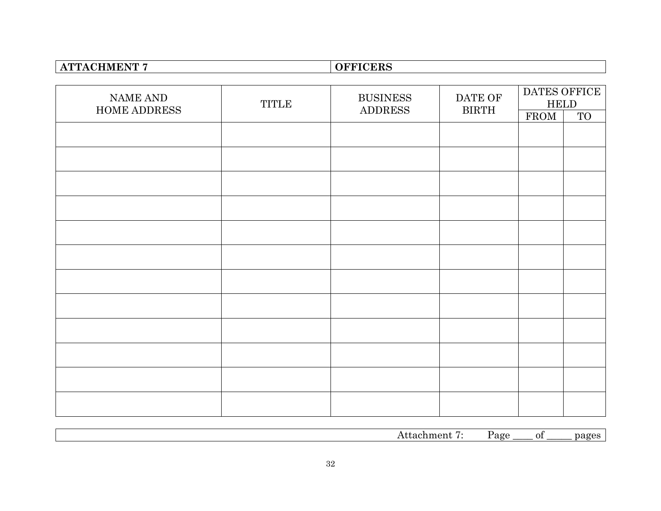| <b>ATTACHMENT 7</b> |              | <b>OFFICERS</b> |              |                              |           |
|---------------------|--------------|-----------------|--------------|------------------------------|-----------|
|                     |              |                 |              |                              |           |
| NAME AND            | <b>TITLE</b> | <b>BUSINESS</b> | DATE OF      | DATES OFFICE<br>${\tt HELD}$ |           |
| HOME ADDRESS        |              | <b>ADDRESS</b>  | <b>BIRTH</b> | FROM                         | <b>TO</b> |
|                     |              |                 |              |                              |           |
|                     |              |                 |              |                              |           |
|                     |              |                 |              |                              |           |
|                     |              |                 |              |                              |           |
|                     |              |                 |              |                              |           |
|                     |              |                 |              |                              |           |
|                     |              |                 |              |                              |           |
|                     |              |                 |              |                              |           |
|                     |              |                 |              |                              |           |
|                     |              |                 |              |                              |           |
|                     |              |                 |              |                              |           |
|                     |              |                 |              |                              |           |
|                     |              |                 |              |                              |           |

| . .<br>. oc<br>--<br>01<br>. .<br>.<br>.<br>. .<br>. . |
|--------------------------------------------------------|
|--------------------------------------------------------|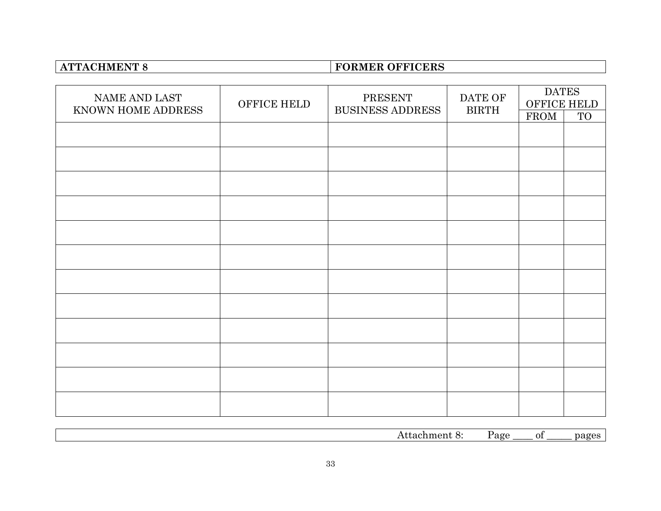# **ATTACHMENT 8 FORMER OFFICERS**

| NAME AND LAST<br>KNOWN HOME ADDRESS | OFFICE HELD | PRESENT<br><b>BUSINESS ADDRESS</b> | DATE OF<br><b>BIRTH</b> | <b>DATES</b><br><b>OFFICE HELD</b> |    |
|-------------------------------------|-------------|------------------------------------|-------------------------|------------------------------------|----|
|                                     |             |                                    |                         | <b>FROM</b>                        | TO |
|                                     |             |                                    |                         |                                    |    |
|                                     |             |                                    |                         |                                    |    |
|                                     |             |                                    |                         |                                    |    |
|                                     |             |                                    |                         |                                    |    |
|                                     |             |                                    |                         |                                    |    |
|                                     |             |                                    |                         |                                    |    |
|                                     |             |                                    |                         |                                    |    |
|                                     |             |                                    |                         |                                    |    |
|                                     |             |                                    |                         |                                    |    |
|                                     |             |                                    |                         |                                    |    |
|                                     |             |                                    |                         |                                    |    |
|                                     |             |                                    |                         |                                    |    |

| . | ∑age<br>. . | ีก1<br>ັບ⊥ | $\sim$ |
|---|-------------|------------|--------|
|   |             |            |        |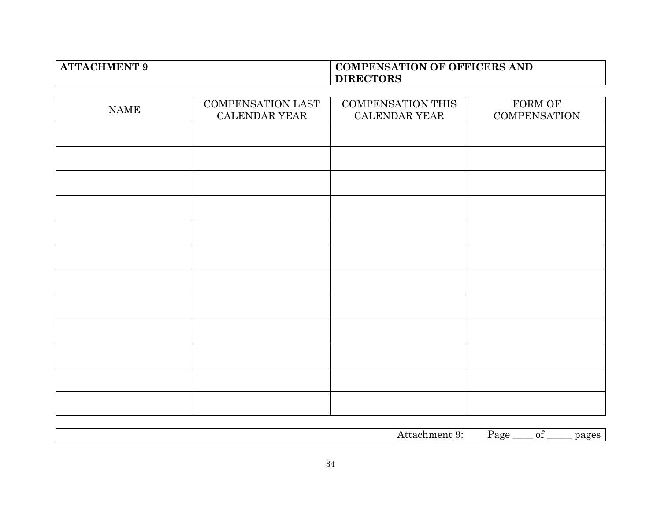## **ATTACHMENT 9 COMPENSATION OF OFFICERS AND DIRECTORS**

| <b>NAME</b> | <b>COMPENSATION LAST</b><br>CALENDAR YEAR | <b>COMPENSATION THIS</b><br>CALENDAR YEAR | FORM OF<br><b>COMPENSATION</b> |
|-------------|-------------------------------------------|-------------------------------------------|--------------------------------|
|             |                                           |                                           |                                |
|             |                                           |                                           |                                |
|             |                                           |                                           |                                |
|             |                                           |                                           |                                |
|             |                                           |                                           |                                |
|             |                                           |                                           |                                |
|             |                                           |                                           |                                |
|             |                                           |                                           |                                |
|             |                                           |                                           |                                |
|             |                                           |                                           |                                |
|             |                                           |                                           |                                |
|             |                                           |                                           |                                |

| . . | _<br>$\cdot$ | ∩1<br>ັ |  |
|-----|--------------|---------|--|
|     |              |         |  |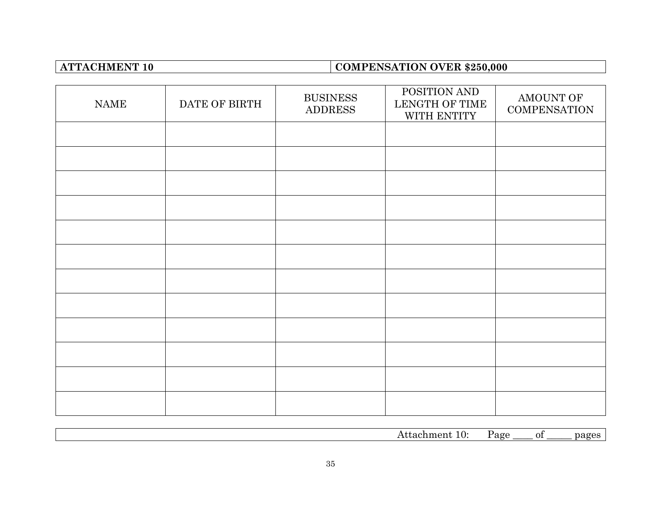# **ATTACHMENT 10 COMPENSATION OVER \$250,000**

| <b>NAME</b> | DATE OF BIRTH | <b>BUSINESS</b><br><b>ADDRESS</b> | POSITION AND<br>LENGTH OF TIME<br>WITH ENTITY | AMOUNT OF<br><b>COMPENSATION</b> |
|-------------|---------------|-----------------------------------|-----------------------------------------------|----------------------------------|
|             |               |                                   |                                               |                                  |
|             |               |                                   |                                               |                                  |
|             |               |                                   |                                               |                                  |
|             |               |                                   |                                               |                                  |
|             |               |                                   |                                               |                                  |
|             |               |                                   |                                               |                                  |
|             |               |                                   |                                               |                                  |
|             |               |                                   |                                               |                                  |
|             |               |                                   |                                               |                                  |
|             |               |                                   |                                               |                                  |
|             |               |                                   |                                               |                                  |
|             |               |                                   |                                               |                                  |

| .<br>. .<br>.<br>$\cdot$ | age | $\sim$<br>71<br>.<br>. |  |
|--------------------------|-----|------------------------|--|
|                          |     |                        |  |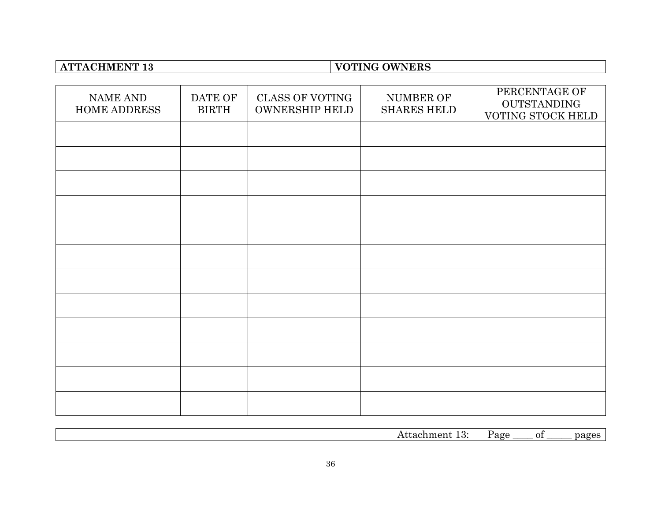# **ATTACHMENT 13 VOTING OWNERS**

| NAME AND<br><b>HOME ADDRESS</b> | DATE OF<br><b>BIRTH</b> | <b>CLASS OF VOTING</b><br><b>OWNERSHIP HELD</b> | NUMBER OF<br><b>SHARES HELD</b> | PERCENTAGE OF<br><b>OUTSTANDING</b><br>VOTING STOCK HELD |
|---------------------------------|-------------------------|-------------------------------------------------|---------------------------------|----------------------------------------------------------|
|                                 |                         |                                                 |                                 |                                                          |
|                                 |                         |                                                 |                                 |                                                          |
|                                 |                         |                                                 |                                 |                                                          |
|                                 |                         |                                                 |                                 |                                                          |
|                                 |                         |                                                 |                                 |                                                          |
|                                 |                         |                                                 |                                 |                                                          |
|                                 |                         |                                                 |                                 |                                                          |
|                                 |                         |                                                 |                                 |                                                          |
|                                 |                         |                                                 |                                 |                                                          |
|                                 |                         |                                                 |                                 |                                                          |
|                                 |                         |                                                 |                                 |                                                          |
|                                 |                         |                                                 |                                 |                                                          |

|  | . . |  |
|--|-----|--|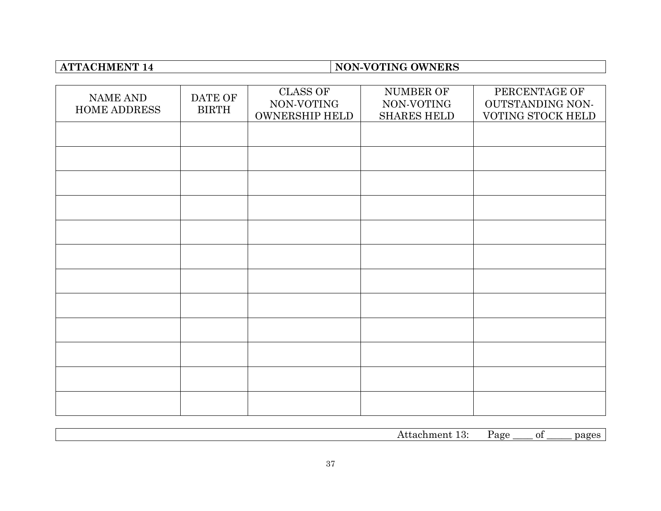# **ATTACHMENT 14 NON-VOTING OWNERS**

| NAME AND<br>HOME ADDRESS | DATE OF<br><b>BIRTH</b> | <b>CLASS OF</b><br>NON-VOTING<br><b>OWNERSHIP HELD</b> | NUMBER OF<br>NON-VOTING<br><b>SHARES HELD</b> | PERCENTAGE OF<br>OUTSTANDING NON-<br>VOTING STOCK HELD |
|--------------------------|-------------------------|--------------------------------------------------------|-----------------------------------------------|--------------------------------------------------------|
|                          |                         |                                                        |                                               |                                                        |
|                          |                         |                                                        |                                               |                                                        |
|                          |                         |                                                        |                                               |                                                        |
|                          |                         |                                                        |                                               |                                                        |
|                          |                         |                                                        |                                               |                                                        |
|                          |                         |                                                        |                                               |                                                        |
|                          |                         |                                                        |                                               |                                                        |
|                          |                         |                                                        |                                               |                                                        |
|                          |                         |                                                        |                                               |                                                        |
|                          |                         |                                                        |                                               |                                                        |
|                          |                         |                                                        |                                               |                                                        |
|                          |                         |                                                        |                                               |                                                        |

| $- - -$<br>¬ ப…<br>.<br>. . | age | ОI | $\sim$ |
|-----------------------------|-----|----|--------|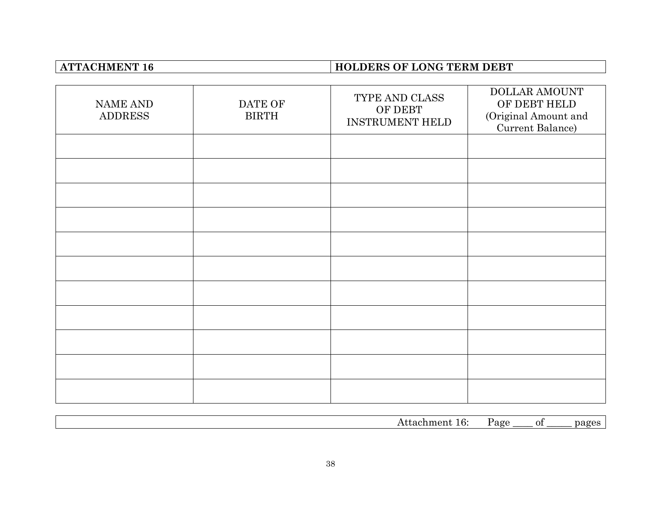# **ATTACHMENT 16 HOLDERS OF LONG TERM DEBT**

| <b>NAME AND</b><br><b>ADDRESS</b> | DATE OF<br><b>BIRTH</b> | TYPE AND CLASS<br>OF DEBT<br><b>INSTRUMENT HELD</b> | <b>DOLLAR AMOUNT</b><br>OF DEBT HELD<br>(Original Amount and<br>Current Balance) |
|-----------------------------------|-------------------------|-----------------------------------------------------|----------------------------------------------------------------------------------|
|                                   |                         |                                                     |                                                                                  |
|                                   |                         |                                                     |                                                                                  |
|                                   |                         |                                                     |                                                                                  |
|                                   |                         |                                                     |                                                                                  |
|                                   |                         |                                                     |                                                                                  |
|                                   |                         |                                                     |                                                                                  |
|                                   |                         |                                                     |                                                                                  |
|                                   |                         |                                                     |                                                                                  |
|                                   |                         |                                                     |                                                                                  |
|                                   |                         |                                                     |                                                                                  |
|                                   |                         |                                                     |                                                                                  |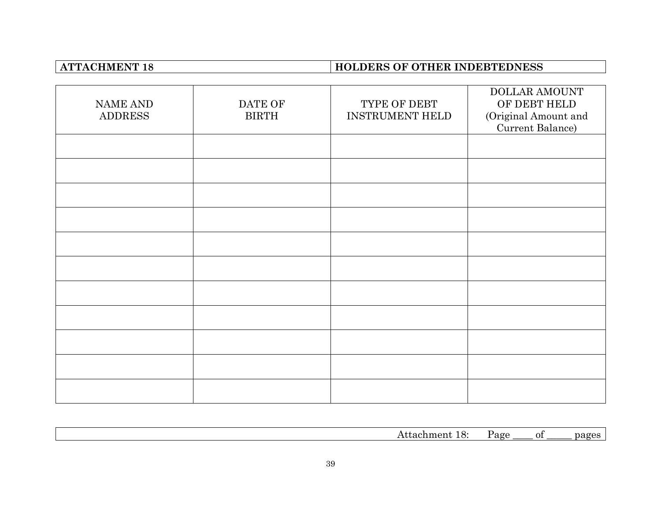# **ATTACHMENT 18 HOLDERS OF OTHER INDEBTEDNESS**

| NAME AND<br><b>ADDRESS</b> | DATE OF<br><b>BIRTH</b> | TYPE OF DEBT<br><b>INSTRUMENT HELD</b> | DOLLAR AMOUNT<br>OF DEBT HELD<br>(Original Amount and<br>Current Balance) |
|----------------------------|-------------------------|----------------------------------------|---------------------------------------------------------------------------|
|                            |                         |                                        |                                                                           |
|                            |                         |                                        |                                                                           |
|                            |                         |                                        |                                                                           |
|                            |                         |                                        |                                                                           |
|                            |                         |                                        |                                                                           |
|                            |                         |                                        |                                                                           |
|                            |                         |                                        |                                                                           |
|                            |                         |                                        |                                                                           |
|                            |                         |                                        |                                                                           |
|                            |                         |                                        |                                                                           |
|                            |                         |                                        |                                                                           |

|  | $-1$ | ℩<br>. | . |
|--|------|--------|---|
|  |      |        |   |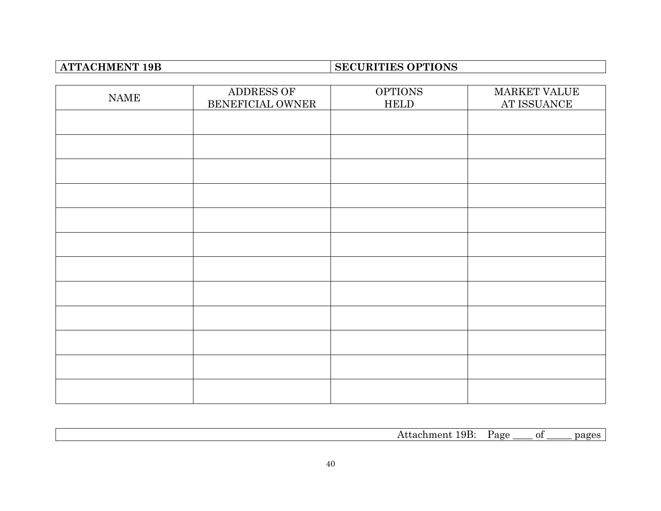# **ATTACHMENT 19B SECURITIES OPTIONS**

| <b>NAME</b> | ADDRESS OF<br>BENEFICIAL OWNER | <b>OPTIONS</b><br>${\tt HELD}$ | MARKET VALUE<br>AT ISSUANCE |
|-------------|--------------------------------|--------------------------------|-----------------------------|
|             |                                |                                |                             |
|             |                                |                                |                             |
|             |                                |                                |                             |
|             |                                |                                |                             |
|             |                                |                                |                             |
|             |                                |                                |                             |
|             |                                |                                |                             |
|             |                                |                                |                             |
|             |                                |                                |                             |
|             |                                |                                |                             |
|             |                                |                                |                             |
|             |                                |                                |                             |

|  | Ħ<br>. | $\overline{\phantom{a}}$ |
|--|--------|--------------------------|
|  |        |                          |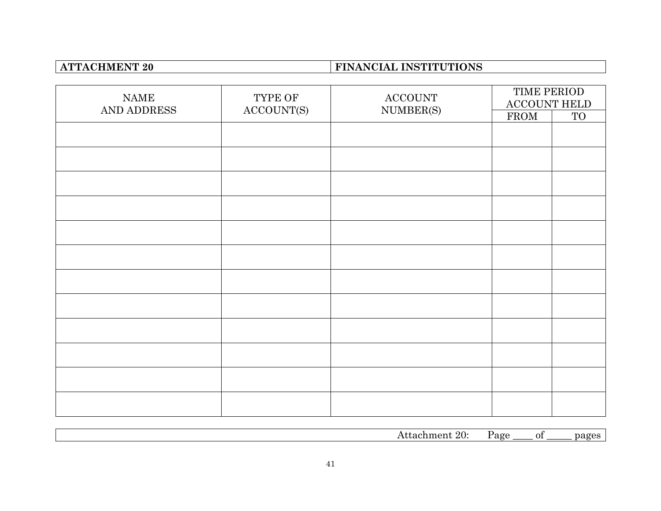# **ATTACHMENT 20 FINANCIAL INSTITUTIONS**

| <b>NAME</b><br>AND ADDRESS | TYPE OF    | $\operatorname{ACCOUNT}$ | TIME PERIOD<br>ACCOUNT HELD<br>NUMBER(S) |    |
|----------------------------|------------|--------------------------|------------------------------------------|----|
|                            | ACCOUNT(S) |                          | FROM                                     | TO |
|                            |            |                          |                                          |    |
|                            |            |                          |                                          |    |
|                            |            |                          |                                          |    |
|                            |            |                          |                                          |    |
|                            |            |                          |                                          |    |
|                            |            |                          |                                          |    |
|                            |            |                          |                                          |    |
|                            |            |                          |                                          |    |
|                            |            |                          |                                          |    |
|                            |            |                          |                                          |    |
|                            |            |                          |                                          |    |
|                            |            |                          |                                          |    |

| 70.<br>. .<br>$\sim$<br>$\overline{\phantom{a}}$ | $\sim$<br><br>. . |  |
|--------------------------------------------------|-------------------|--|
|                                                  |                   |  |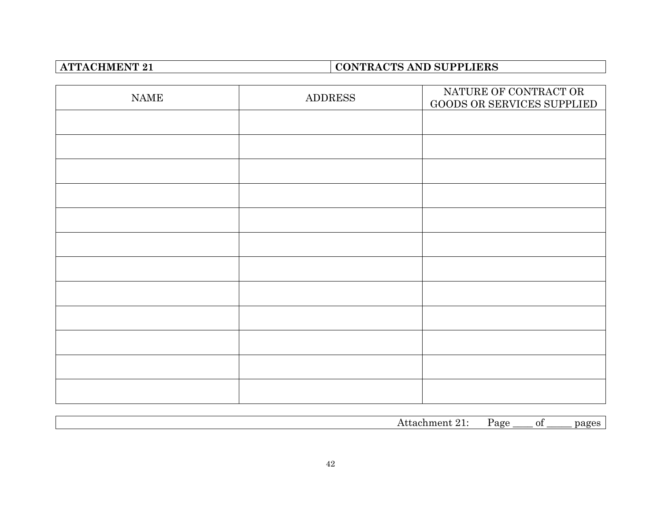# **ATTACHMENT 21 CONTRACTS AND SUPPLIERS**

| $\ensuremath{\mathsf{NAME}}$ | <b>ADDRESS</b> | NATURE OF CONTRACT OR<br>GOODS OR SERVICES SUPPLIED |
|------------------------------|----------------|-----------------------------------------------------|
|                              |                |                                                     |
|                              |                |                                                     |
|                              |                |                                                     |
|                              |                |                                                     |
|                              |                |                                                     |
|                              |                |                                                     |
|                              |                |                                                     |
|                              |                |                                                     |
|                              |                |                                                     |
|                              |                |                                                     |
|                              |                |                                                     |
|                              |                |                                                     |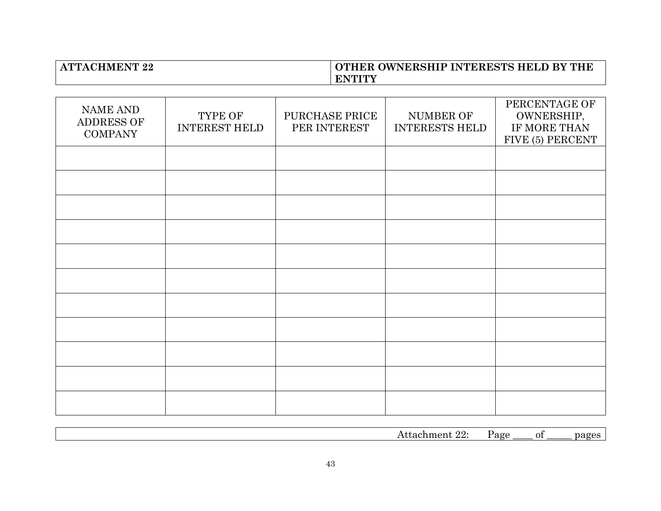## **ATTACHMENT 22 OTHER OWNERSHIP INTERESTS HELD BY THE ENTITY**

| <b>NAME AND</b><br>ADDRESS OF<br><b>COMPANY</b> | TYPE OF<br><b>INTEREST HELD</b> | PURCHASE PRICE<br>PER INTEREST | NUMBER OF<br><b>INTERESTS HELD</b> | PERCENTAGE OF<br>OWNERSHIP,<br>IF MORE THAN<br>FIVE (5) PERCENT |
|-------------------------------------------------|---------------------------------|--------------------------------|------------------------------------|-----------------------------------------------------------------|
|                                                 |                                 |                                |                                    |                                                                 |
|                                                 |                                 |                                |                                    |                                                                 |
|                                                 |                                 |                                |                                    |                                                                 |
|                                                 |                                 |                                |                                    |                                                                 |
|                                                 |                                 |                                |                                    |                                                                 |
|                                                 |                                 |                                |                                    |                                                                 |
|                                                 |                                 |                                |                                    |                                                                 |
|                                                 |                                 |                                |                                    |                                                                 |
|                                                 |                                 |                                |                                    |                                                                 |
|                                                 |                                 |                                |                                    |                                                                 |
|                                                 |                                 |                                |                                    |                                                                 |

|  | `<br>. . |  |
|--|----------|--|
|  |          |  |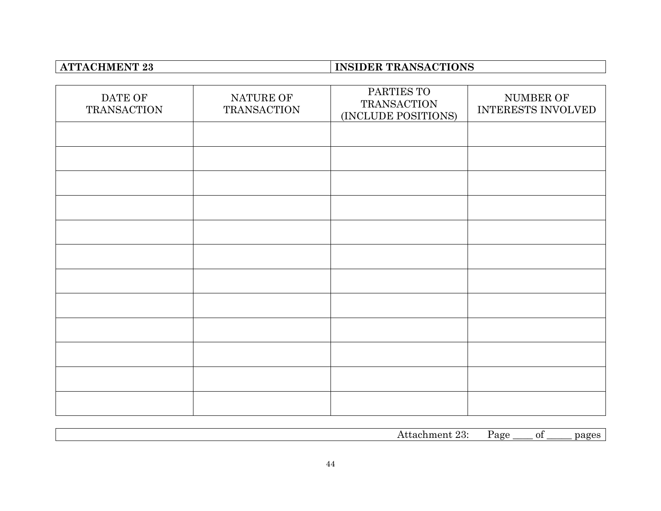# **ATTACHMENT 23 INSIDER TRANSACTIONS**

| DATE OF<br><b>TRANSACTION</b> | NATURE OF<br><b>TRANSACTION</b> | PARTIES TO<br><b>TRANSACTION</b><br>(INCLUDE POSITIONS) | NUMBER OF<br>INTERESTS INVOLVED |
|-------------------------------|---------------------------------|---------------------------------------------------------|---------------------------------|
|                               |                                 |                                                         |                                 |
|                               |                                 |                                                         |                                 |
|                               |                                 |                                                         |                                 |
|                               |                                 |                                                         |                                 |
|                               |                                 |                                                         |                                 |
|                               |                                 |                                                         |                                 |
|                               |                                 |                                                         |                                 |
|                               |                                 |                                                         |                                 |
|                               |                                 |                                                         |                                 |
|                               |                                 |                                                         |                                 |
|                               |                                 |                                                         |                                 |
|                               |                                 |                                                         |                                 |

| $\sim$<br>AC<br>നല<br>$\overline{\phantom{a}}$<br>0İ<br>я<br>$\cdot$ ne $\cdot$<br>، م سے<br>.<br>$\sim$ |  |  |  |
|----------------------------------------------------------------------------------------------------------|--|--|--|
|                                                                                                          |  |  |  |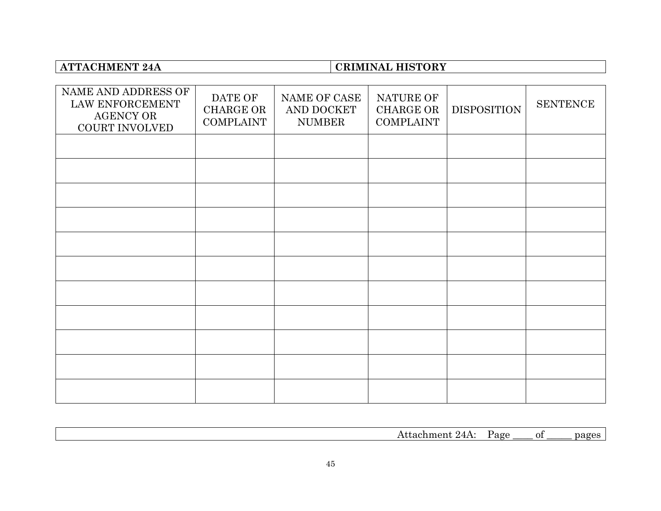# **ATTACHMENT 24A CRIMINAL HISTORY**

| NAME AND ADDRESS OF<br>LAW ENFORCEMENT<br><b>AGENCY OR</b><br>COURT INVOLVED | DATE OF<br><b>CHARGE OR</b><br><b>COMPLAINT</b> | NAME OF CASE<br>AND DOCKET<br><b>NUMBER</b> | NATURE OF<br><b>CHARGE OR</b><br><b>COMPLAINT</b> | <b>DISPOSITION</b> | <b>SENTENCE</b> |
|------------------------------------------------------------------------------|-------------------------------------------------|---------------------------------------------|---------------------------------------------------|--------------------|-----------------|
|                                                                              |                                                 |                                             |                                                   |                    |                 |
|                                                                              |                                                 |                                             |                                                   |                    |                 |
|                                                                              |                                                 |                                             |                                                   |                    |                 |
|                                                                              |                                                 |                                             |                                                   |                    |                 |
|                                                                              |                                                 |                                             |                                                   |                    |                 |
|                                                                              |                                                 |                                             |                                                   |                    |                 |
|                                                                              |                                                 |                                             |                                                   |                    |                 |
|                                                                              |                                                 |                                             |                                                   |                    |                 |
|                                                                              |                                                 |                                             |                                                   |                    |                 |
|                                                                              |                                                 |                                             |                                                   |                    |                 |
|                                                                              |                                                 |                                             |                                                   |                    |                 |

| $- -$<br>ገ1<br>nc<br>. . |  |  |  |
|--------------------------|--|--|--|
|                          |  |  |  |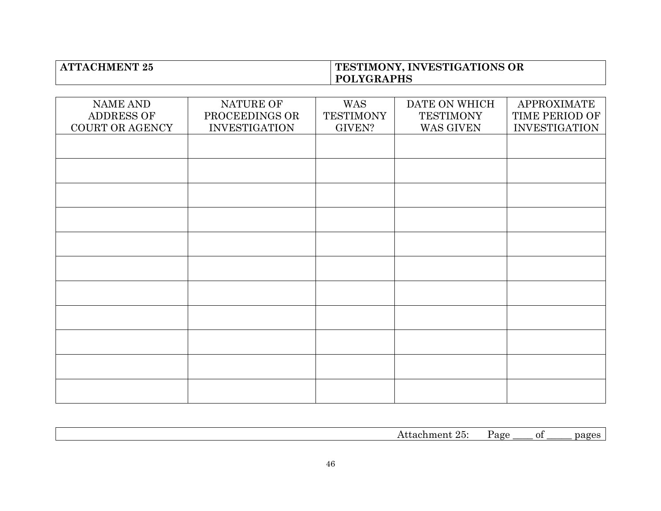### **ATTACHMENT 25 TESTIMONY, INVESTIGATIONS OR POLYGRAPHS**

| <b>NAME AND</b><br>ADDRESS OF | NATURE OF<br>PROCEEDINGS OR | <b>WAS</b><br><b>TESTIMONY</b> | DATE ON WHICH<br><b>TESTIMONY</b> | <b>APPROXIMATE</b><br>TIME PERIOD OF |
|-------------------------------|-----------------------------|--------------------------------|-----------------------------------|--------------------------------------|
| COURT OR AGENCY               | <b>INVESTIGATION</b>        | <b>GIVEN?</b>                  | WAS GIVEN                         | <b>INVESTIGATION</b>                 |
|                               |                             |                                |                                   |                                      |
|                               |                             |                                |                                   |                                      |
|                               |                             |                                |                                   |                                      |
|                               |                             |                                |                                   |                                      |
|                               |                             |                                |                                   |                                      |
|                               |                             |                                |                                   |                                      |
|                               |                             |                                |                                   |                                      |
|                               |                             |                                |                                   |                                      |
|                               |                             |                                |                                   |                                      |
|                               |                             |                                |                                   |                                      |
|                               |                             |                                |                                   |                                      |

|  | $\sim$<br>OІ<br>$\cdot$ | . |
|--|-------------------------|---|
|  |                         |   |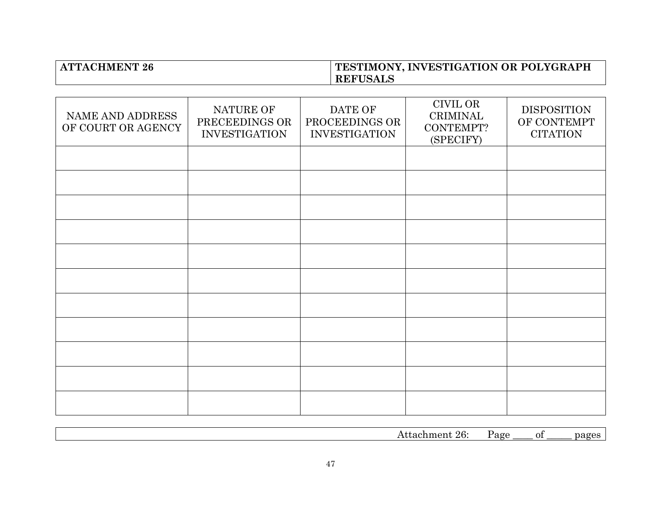### **ATTACHMENT 26 TESTIMONY, INVESTIGATION OR POLYGRAPH REFUSALS**

| NAME AND ADDRESS<br>OF COURT OR AGENCY | NATURE OF<br>PRECEEDINGS OR<br><b>INVESTIGATION</b> | DATE OF<br>PROCEEDINGS OR<br><b>INVESTIGATION</b> | <b>CIVIL OR</b><br><b>CRIMINAL</b><br>CONTEMPT?<br>(SPECIFY) | <b>DISPOSITION</b><br>OF CONTEMPT<br><b>CITATION</b> |
|----------------------------------------|-----------------------------------------------------|---------------------------------------------------|--------------------------------------------------------------|------------------------------------------------------|
|                                        |                                                     |                                                   |                                                              |                                                      |
|                                        |                                                     |                                                   |                                                              |                                                      |
|                                        |                                                     |                                                   |                                                              |                                                      |
|                                        |                                                     |                                                   |                                                              |                                                      |
|                                        |                                                     |                                                   |                                                              |                                                      |
|                                        |                                                     |                                                   |                                                              |                                                      |
|                                        |                                                     |                                                   |                                                              |                                                      |
|                                        |                                                     |                                                   |                                                              |                                                      |
|                                        |                                                     |                                                   |                                                              |                                                      |
|                                        |                                                     |                                                   |                                                              |                                                      |
|                                        |                                                     |                                                   |                                                              |                                                      |

| . | --<br>-01 | $\cdot$ |
|---|-----------|---------|
|   |           |         |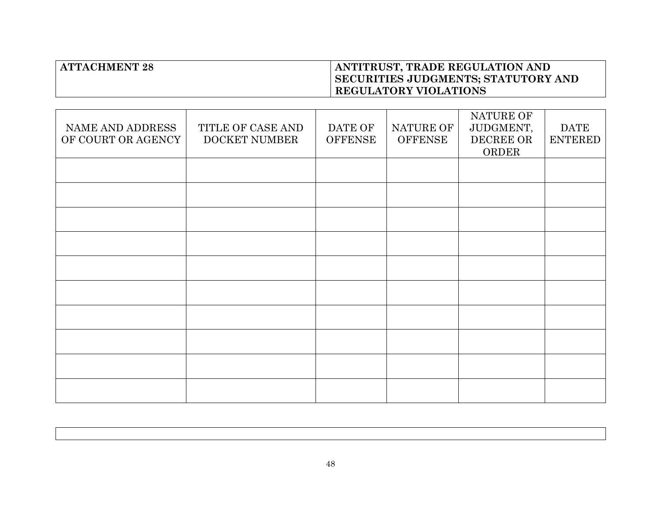## **ATTACHMENT 28 ANTITRUST, TRADE REGULATION AND SECURITIES JUDGMENTS; STATUTORY AND REGULATORY VIOLATIONS**

|                    |                      |                |                | NATURE OF |                |
|--------------------|----------------------|----------------|----------------|-----------|----------------|
| NAME AND ADDRESS   | TITLE OF CASE AND    | DATE OF        | NATURE OF      | JUDGMENT, | <b>DATE</b>    |
| OF COURT OR AGENCY | <b>DOCKET NUMBER</b> | <b>OFFENSE</b> | <b>OFFENSE</b> | DECREE OR | <b>ENTERED</b> |
|                    |                      |                |                | ORDER     |                |
|                    |                      |                |                |           |                |
|                    |                      |                |                |           |                |
|                    |                      |                |                |           |                |
|                    |                      |                |                |           |                |
|                    |                      |                |                |           |                |
|                    |                      |                |                |           |                |
|                    |                      |                |                |           |                |
|                    |                      |                |                |           |                |
|                    |                      |                |                |           |                |
|                    |                      |                |                |           |                |
|                    |                      |                |                |           |                |
|                    |                      |                |                |           |                |
|                    |                      |                |                |           |                |
|                    |                      |                |                |           |                |
|                    |                      |                |                |           |                |
|                    |                      |                |                |           |                |
|                    |                      |                |                |           |                |
|                    |                      |                |                |           |                |
|                    |                      |                |                |           |                |
|                    |                      |                |                |           |                |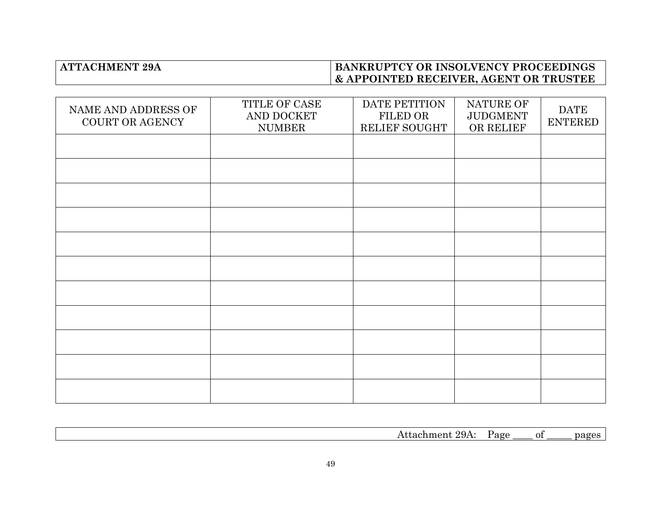## **BANKRUPTCY OR INSOLVENCY PROCEEDINGS & APPOINTED RECEIVER, AGENT OR TRUSTEE**

| NAME AND ADDRESS OF<br>COURT OR AGENCY | TITLE OF CASE<br>AND DOCKET<br><b>NUMBER</b> | DATE PETITION<br>FILED OR<br>RELIEF SOUGHT | NATURE OF<br><b>JUDGMENT</b><br>OR RELIEF | <b>DATE</b><br><b>ENTERED</b> |
|----------------------------------------|----------------------------------------------|--------------------------------------------|-------------------------------------------|-------------------------------|
|                                        |                                              |                                            |                                           |                               |
|                                        |                                              |                                            |                                           |                               |
|                                        |                                              |                                            |                                           |                               |
|                                        |                                              |                                            |                                           |                               |
|                                        |                                              |                                            |                                           |                               |
|                                        |                                              |                                            |                                           |                               |
|                                        |                                              |                                            |                                           |                               |
|                                        |                                              |                                            |                                           |                               |
|                                        |                                              |                                            |                                           |                               |
|                                        |                                              |                                            |                                           |                               |
|                                        |                                              |                                            |                                           |                               |

|  | 'N. |  |
|--|-----|--|
|  |     |  |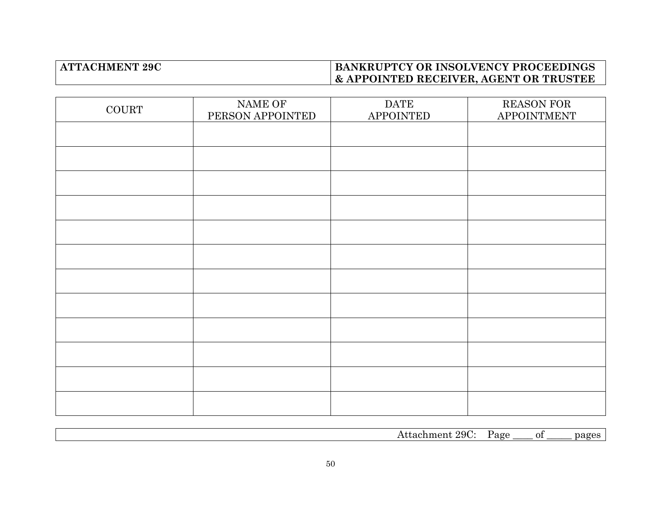## **BANKRUPTCY OR INSOLVENCY PROCEEDINGS & APPOINTED RECEIVER, AGENT OR TRUSTEE**

| <b>COURT</b> | NAME OF<br>PERSON APPOINTED | <b>DATE</b><br><b>APPOINTED</b> | <b>REASON FOR</b><br>APPOINTMENT |
|--------------|-----------------------------|---------------------------------|----------------------------------|
|              |                             |                                 |                                  |
|              |                             |                                 |                                  |
|              |                             |                                 |                                  |
|              |                             |                                 |                                  |
|              |                             |                                 |                                  |
|              |                             |                                 |                                  |
|              |                             |                                 |                                  |
|              |                             |                                 |                                  |
|              |                             |                                 |                                  |
|              |                             |                                 |                                  |
|              |                             |                                 |                                  |
|              |                             |                                 |                                  |

| $^{\circ}$ 29C.<br>' 1011 | $\sim$<br>u<br>-- | า†<br>$\sim$ | 000 |
|---------------------------|-------------------|--------------|-----|
|                           |                   |              |     |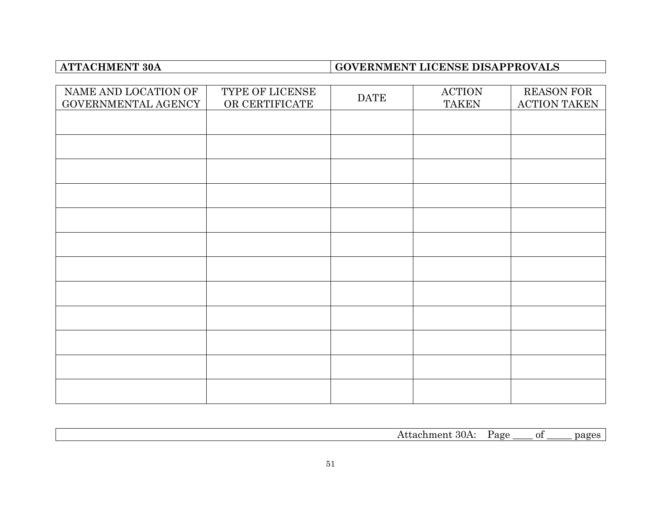# **ATTACHMENT 30A GOVERNMENT LICENSE DISAPPROVALS**

| NAME AND LOCATION OF<br>GOVERNMENTAL AGENCY | TYPE OF LICENSE<br>OR CERTIFICATE | <b>DATE</b> | <b>ACTION</b><br><b>TAKEN</b> | <b>REASON FOR</b><br><b>ACTION TAKEN</b> |
|---------------------------------------------|-----------------------------------|-------------|-------------------------------|------------------------------------------|
|                                             |                                   |             |                               |                                          |
|                                             |                                   |             |                               |                                          |
|                                             |                                   |             |                               |                                          |
|                                             |                                   |             |                               |                                          |
|                                             |                                   |             |                               |                                          |
|                                             |                                   |             |                               |                                          |
|                                             |                                   |             |                               |                                          |
|                                             |                                   |             |                               |                                          |
|                                             |                                   |             |                               |                                          |
|                                             |                                   |             |                               |                                          |
|                                             |                                   |             |                               |                                          |
|                                             |                                   |             |                               |                                          |

| $\Omega$<br>90C<br>∩m∙<br>Ω. |                   |        |              |                    |
|------------------------------|-------------------|--------|--------------|--------------------|
|                              | - OUA.<br>теппень | ີ<br>- | . <i>.</i> . | $\alpha$<br>$\sim$ |